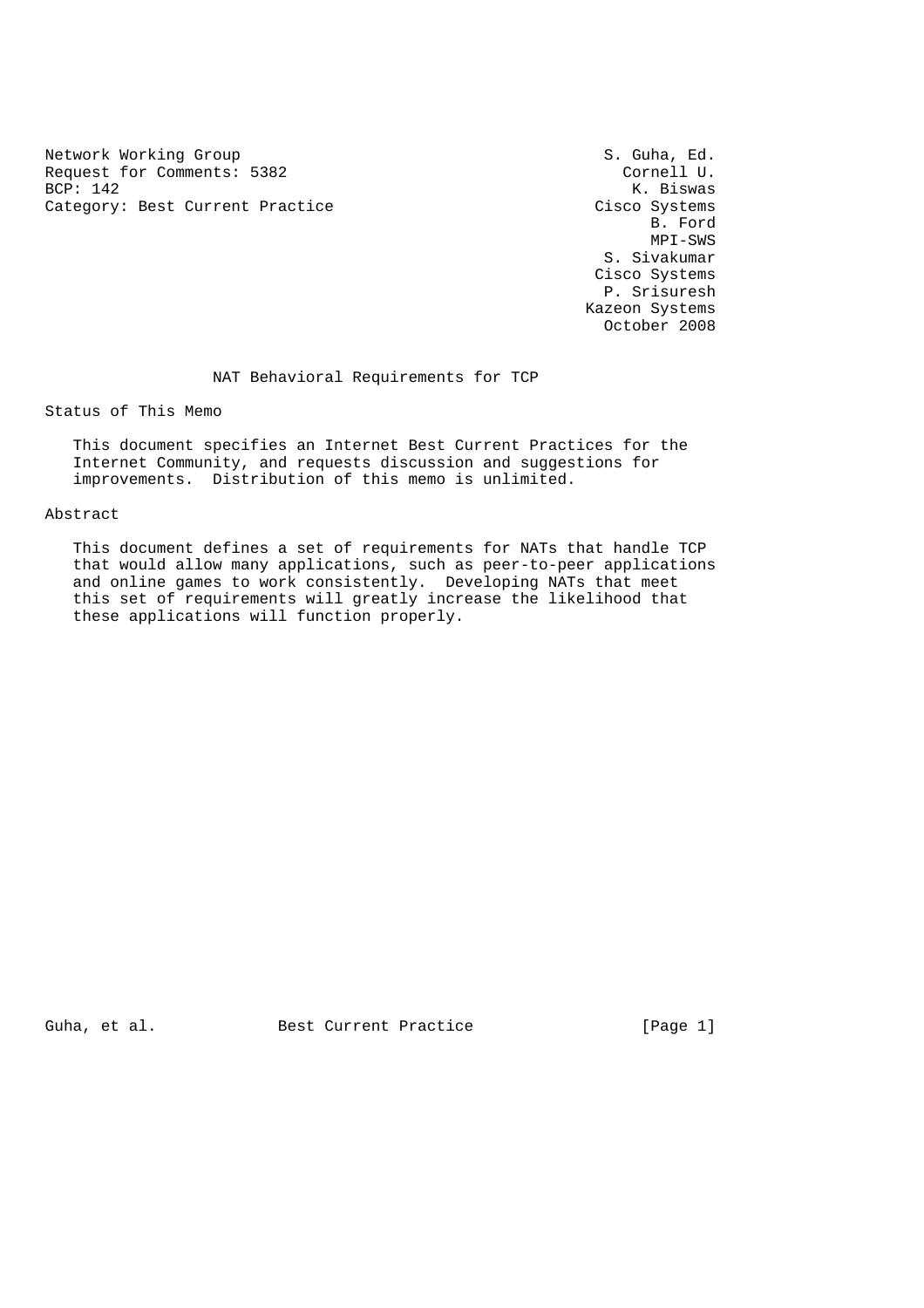Network Working Group<br>Request for Comments: 5382 Service S. Guha, Ed. S. Guha, Ed. Request for Comments: 5382<br>BCP: 142 Category: Best Current Practice Cisco Systems Cisco Systems<br>B. Ford

K. Biswas<br>Cisco Systems B. Ford MPI-SWS S. Sivakumar Cisco Systems P. Srisuresh Kazeon Systems October 2008

NAT Behavioral Requirements for TCP

Status of This Memo

 This document specifies an Internet Best Current Practices for the Internet Community, and requests discussion and suggestions for improvements. Distribution of this memo is unlimited.

Abstract

 This document defines a set of requirements for NATs that handle TCP that would allow many applications, such as peer-to-peer applications and online games to work consistently. Developing NATs that meet this set of requirements will greatly increase the likelihood that these applications will function properly.

Guha, et al. Best Current Practice [Page 1]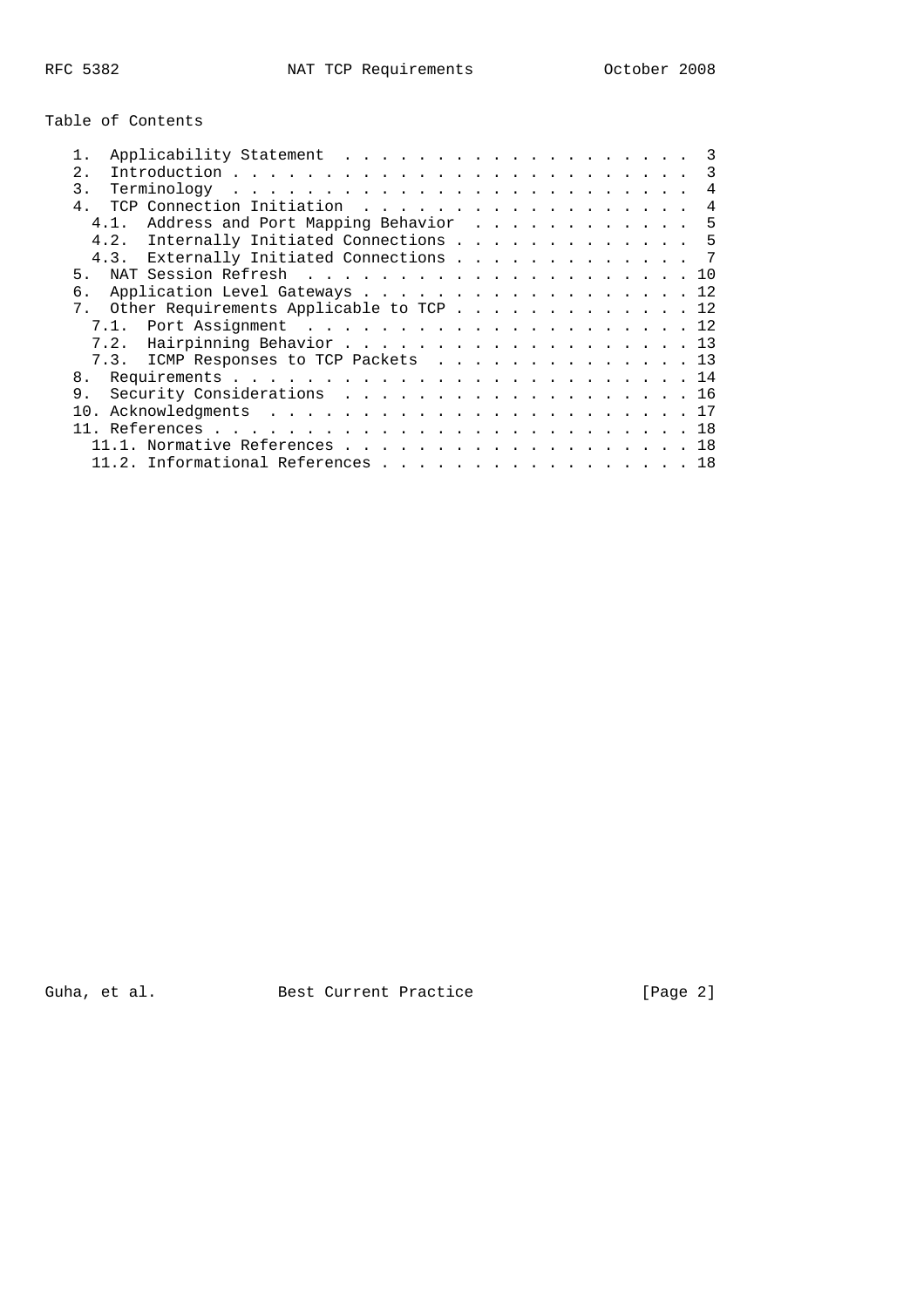# Table of Contents

| 2.1            |              |  |  |  |  |                                                                                                                                                                                                                                                                                                                                                                                  |
|----------------|--------------|--|--|--|--|----------------------------------------------------------------------------------------------------------------------------------------------------------------------------------------------------------------------------------------------------------------------------------------------------------------------------------------------------------------------------------|
| $\mathcal{E}$  |              |  |  |  |  | 4                                                                                                                                                                                                                                                                                                                                                                                |
| $\overline{4}$ |              |  |  |  |  | $\overline{4}$                                                                                                                                                                                                                                                                                                                                                                   |
|                |              |  |  |  |  |                                                                                                                                                                                                                                                                                                                                                                                  |
|                |              |  |  |  |  |                                                                                                                                                                                                                                                                                                                                                                                  |
|                |              |  |  |  |  |                                                                                                                                                                                                                                                                                                                                                                                  |
| 5.             |              |  |  |  |  |                                                                                                                                                                                                                                                                                                                                                                                  |
| б.             |              |  |  |  |  |                                                                                                                                                                                                                                                                                                                                                                                  |
|                |              |  |  |  |  |                                                                                                                                                                                                                                                                                                                                                                                  |
|                |              |  |  |  |  |                                                                                                                                                                                                                                                                                                                                                                                  |
|                |              |  |  |  |  |                                                                                                                                                                                                                                                                                                                                                                                  |
|                |              |  |  |  |  |                                                                                                                                                                                                                                                                                                                                                                                  |
| 8.             |              |  |  |  |  |                                                                                                                                                                                                                                                                                                                                                                                  |
| 9.             |              |  |  |  |  |                                                                                                                                                                                                                                                                                                                                                                                  |
|                |              |  |  |  |  |                                                                                                                                                                                                                                                                                                                                                                                  |
|                |              |  |  |  |  |                                                                                                                                                                                                                                                                                                                                                                                  |
|                |              |  |  |  |  |                                                                                                                                                                                                                                                                                                                                                                                  |
|                |              |  |  |  |  |                                                                                                                                                                                                                                                                                                                                                                                  |
|                | 4.2.<br>7.2. |  |  |  |  | 4.1. Address and Port Mapping Behavior 5<br>Internally Initiated Connections 5<br>4.3. Externally Initiated Connections 7<br>Application Level Gateways 12<br>7. Other Requirements Applicable to TCP 12<br>Hairpinning Behavior 13<br>7.3. ICMP Responses to TCP Packets 13<br>Security Considerations 16<br>$.1.$ Normative References 18<br>11.2. Informational References 18 |

Guha, et al. Best Current Practice [Page 2]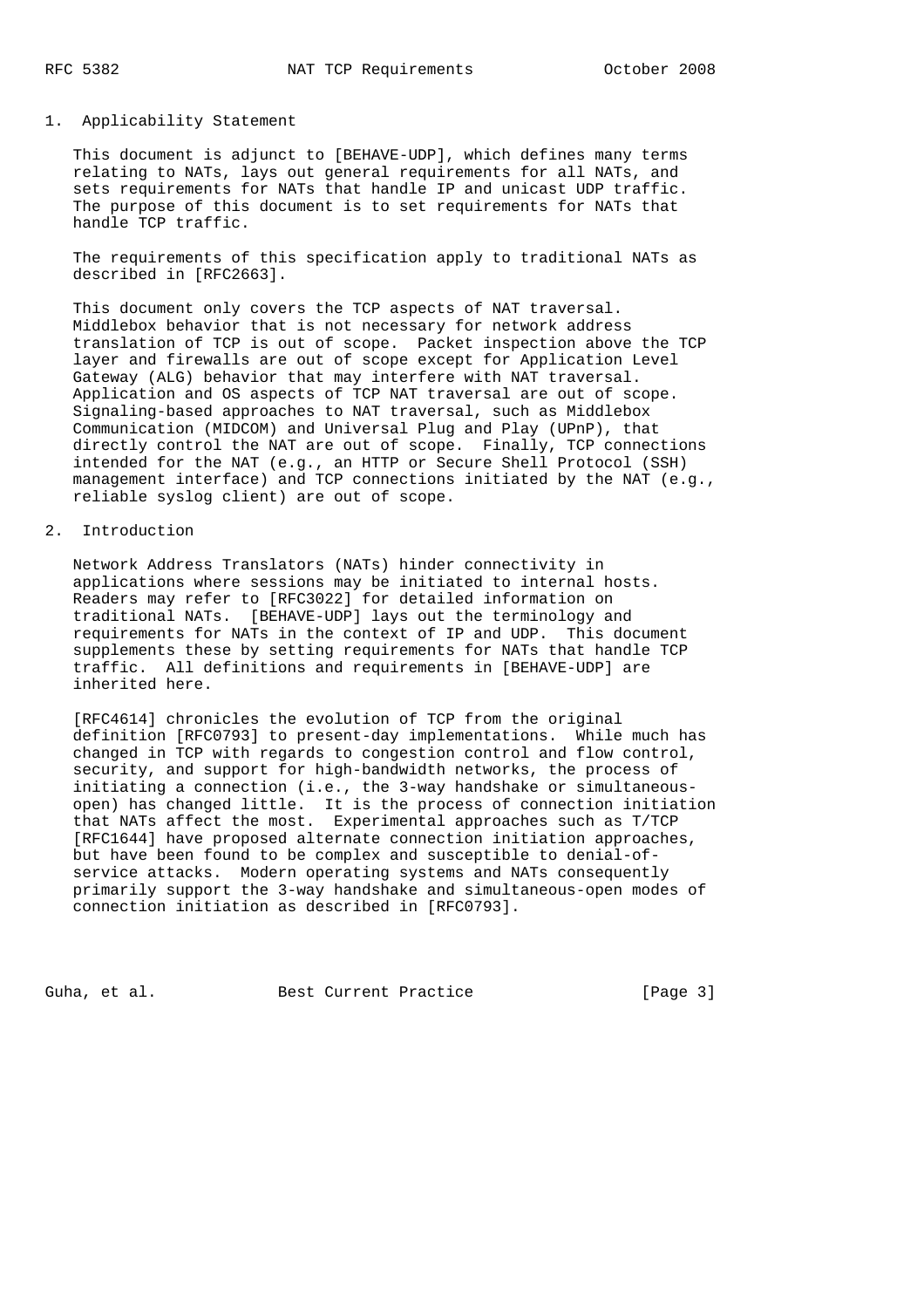## 1. Applicability Statement

 This document is adjunct to [BEHAVE-UDP], which defines many terms relating to NATs, lays out general requirements for all NATs, and sets requirements for NATs that handle IP and unicast UDP traffic. The purpose of this document is to set requirements for NATs that handle TCP traffic.

 The requirements of this specification apply to traditional NATs as described in [RFC2663].

 This document only covers the TCP aspects of NAT traversal. Middlebox behavior that is not necessary for network address translation of TCP is out of scope. Packet inspection above the TCP layer and firewalls are out of scope except for Application Level Gateway (ALG) behavior that may interfere with NAT traversal. Application and OS aspects of TCP NAT traversal are out of scope. Signaling-based approaches to NAT traversal, such as Middlebox Communication (MIDCOM) and Universal Plug and Play (UPnP), that directly control the NAT are out of scope. Finally, TCP connections intended for the NAT (e.g., an HTTP or Secure Shell Protocol (SSH) management interface) and TCP connections initiated by the NAT (e.g., reliable syslog client) are out of scope.

#### 2. Introduction

 Network Address Translators (NATs) hinder connectivity in applications where sessions may be initiated to internal hosts. Readers may refer to [RFC3022] for detailed information on traditional NATs. [BEHAVE-UDP] lays out the terminology and requirements for NATs in the context of IP and UDP. This document supplements these by setting requirements for NATs that handle TCP traffic. All definitions and requirements in [BEHAVE-UDP] are inherited here.

 [RFC4614] chronicles the evolution of TCP from the original definition [RFC0793] to present-day implementations. While much has changed in TCP with regards to congestion control and flow control, security, and support for high-bandwidth networks, the process of initiating a connection (i.e., the 3-way handshake or simultaneous open) has changed little. It is the process of connection initiation that NATs affect the most. Experimental approaches such as T/TCP [RFC1644] have proposed alternate connection initiation approaches, but have been found to be complex and susceptible to denial-of service attacks. Modern operating systems and NATs consequently primarily support the 3-way handshake and simultaneous-open modes of connection initiation as described in [RFC0793].

Guha, et al. Best Current Practice [Page 3]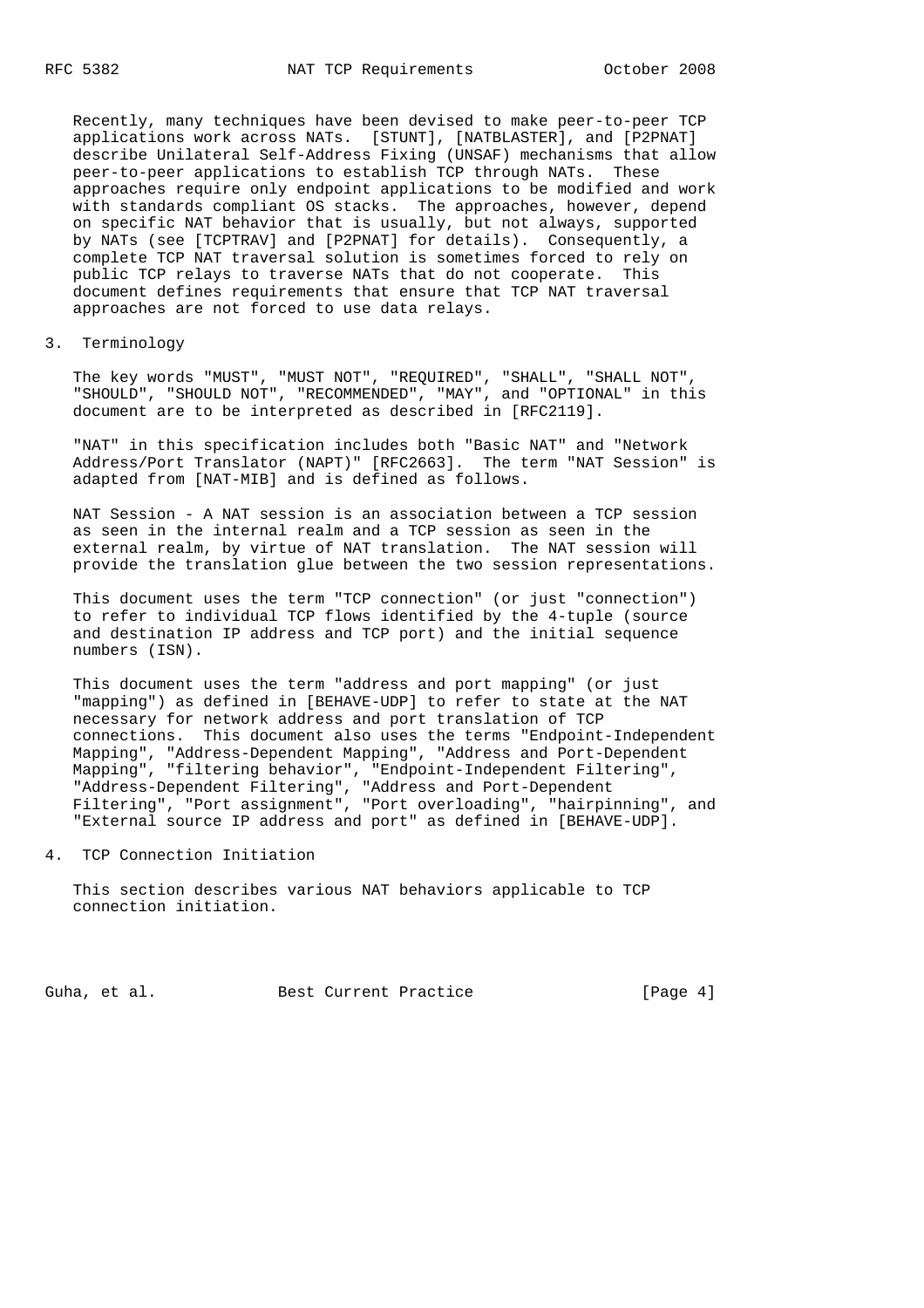Recently, many techniques have been devised to make peer-to-peer TCP applications work across NATs. [STUNT], [NATBLASTER], and [P2PNAT] describe Unilateral Self-Address Fixing (UNSAF) mechanisms that allow peer-to-peer applications to establish TCP through NATs. These approaches require only endpoint applications to be modified and work with standards compliant OS stacks. The approaches, however, depend on specific NAT behavior that is usually, but not always, supported by NATs (see [TCPTRAV] and [P2PNAT] for details). Consequently, a complete TCP NAT traversal solution is sometimes forced to rely on public TCP relays to traverse NATs that do not cooperate. This document defines requirements that ensure that TCP NAT traversal approaches are not forced to use data relays.

3. Terminology

 The key words "MUST", "MUST NOT", "REQUIRED", "SHALL", "SHALL NOT", "SHOULD", "SHOULD NOT", "RECOMMENDED", "MAY", and "OPTIONAL" in this document are to be interpreted as described in [RFC2119].

 "NAT" in this specification includes both "Basic NAT" and "Network Address/Port Translator (NAPT)" [RFC2663]. The term "NAT Session" is adapted from [NAT-MIB] and is defined as follows.

 NAT Session - A NAT session is an association between a TCP session as seen in the internal realm and a TCP session as seen in the external realm, by virtue of NAT translation. The NAT session will provide the translation glue between the two session representations.

 This document uses the term "TCP connection" (or just "connection") to refer to individual TCP flows identified by the 4-tuple (source and destination IP address and TCP port) and the initial sequence numbers (ISN).

 This document uses the term "address and port mapping" (or just "mapping") as defined in [BEHAVE-UDP] to refer to state at the NAT necessary for network address and port translation of TCP connections. This document also uses the terms "Endpoint-Independent Mapping", "Address-Dependent Mapping", "Address and Port-Dependent Mapping", "filtering behavior", "Endpoint-Independent Filtering", "Address-Dependent Filtering", "Address and Port-Dependent Filtering", "Port assignment", "Port overloading", "hairpinning", and "External source IP address and port" as defined in [BEHAVE-UDP].

4. TCP Connection Initiation

 This section describes various NAT behaviors applicable to TCP connection initiation.

Guha, et al. Best Current Practice [Page 4]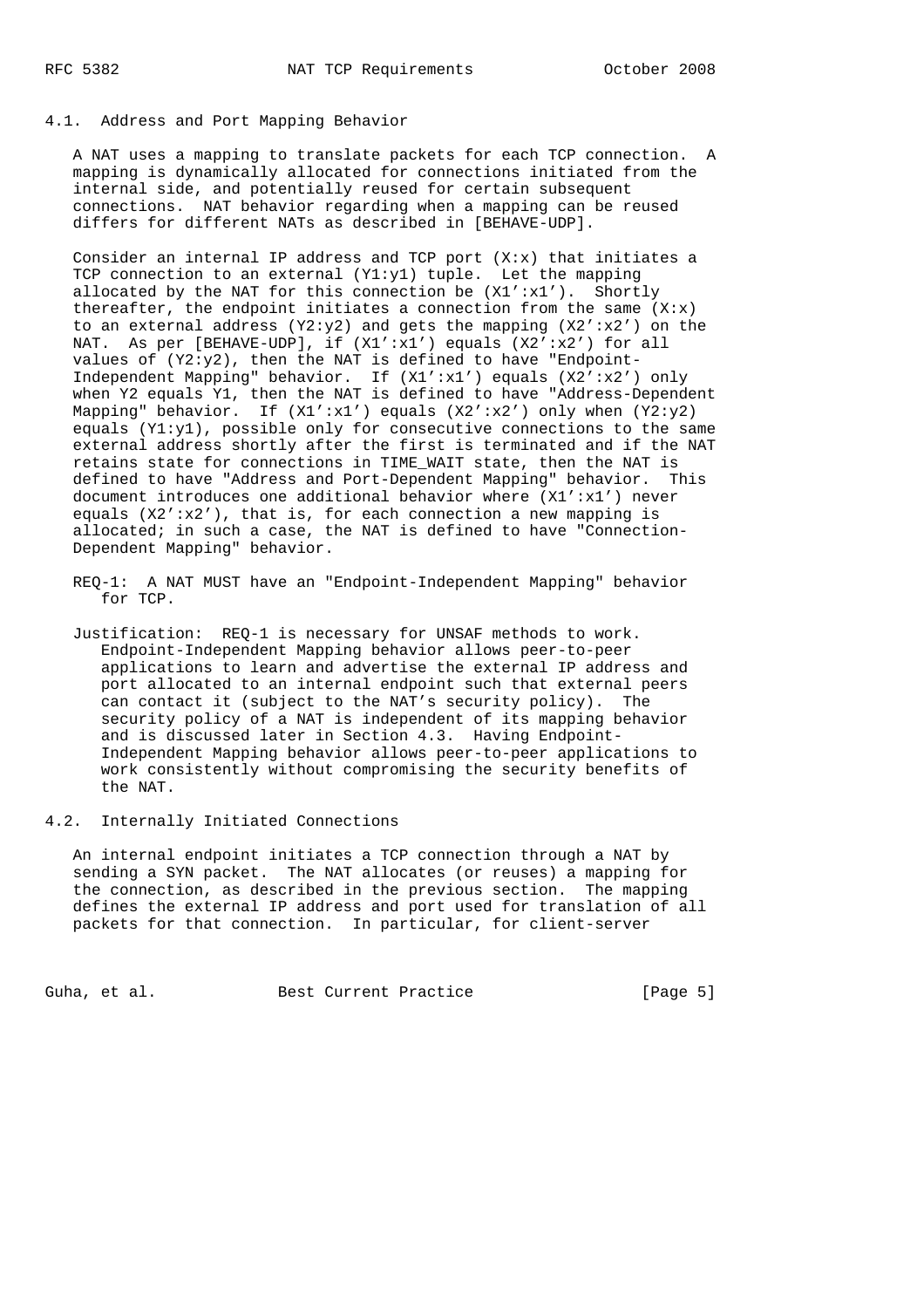### 4.1. Address and Port Mapping Behavior

 A NAT uses a mapping to translate packets for each TCP connection. A mapping is dynamically allocated for connections initiated from the internal side, and potentially reused for certain subsequent connections. NAT behavior regarding when a mapping can be reused differs for different NATs as described in [BEHAVE-UDP].

Consider an internal IP address and TCP port  $(X:x)$  that initiates a TCP connection to an external  $(Y1:y1)$  tuple. Let the mapping allocated by the NAT for this connection be  $(X1':X1')$ . Shortly thereafter, the endpoint initiates a connection from the same  $(X: x)$ to an external address (Y2:y2) and gets the mapping  $(X2':X2')$  on the NAT. As per [BEHAVE-UDP], if (X1':x1') equals (X2':x2') for all values of (Y2:y2), then the NAT is defined to have "Endpoint- Independent Mapping" behavior. If (X1':x1') equals (X2':x2') only when Y2 equals Y1, then the NAT is defined to have "Address-Dependent Mapping" behavior. If  $(X1':x1')$  equals  $(X2':x2')$  only when  $(Y2:y2)$ equals  $(Y1:Y1)$ , possible only for consecutive connections to the same external address shortly after the first is terminated and if the NAT retains state for connections in TIME\_WAIT state, then the NAT is defined to have "Address and Port-Dependent Mapping" behavior. This document introduces one additional behavior where  $(X1':x1')$  never equals  $(X2':X2')$ , that is, for each connection a new mapping is allocated; in such a case, the NAT is defined to have "Connection- Dependent Mapping" behavior.

- REQ-1: A NAT MUST have an "Endpoint-Independent Mapping" behavior for TCP.
- Justification: REQ-1 is necessary for UNSAF methods to work. Endpoint-Independent Mapping behavior allows peer-to-peer applications to learn and advertise the external IP address and port allocated to an internal endpoint such that external peers can contact it (subject to the NAT's security policy). The security policy of a NAT is independent of its mapping behavior and is discussed later in Section 4.3. Having Endpoint- Independent Mapping behavior allows peer-to-peer applications to work consistently without compromising the security benefits of the NAT.

4.2. Internally Initiated Connections

 An internal endpoint initiates a TCP connection through a NAT by sending a SYN packet. The NAT allocates (or reuses) a mapping for the connection, as described in the previous section. The mapping defines the external IP address and port used for translation of all packets for that connection. In particular, for client-server

Guha, et al. Sest Current Practice [Page 5]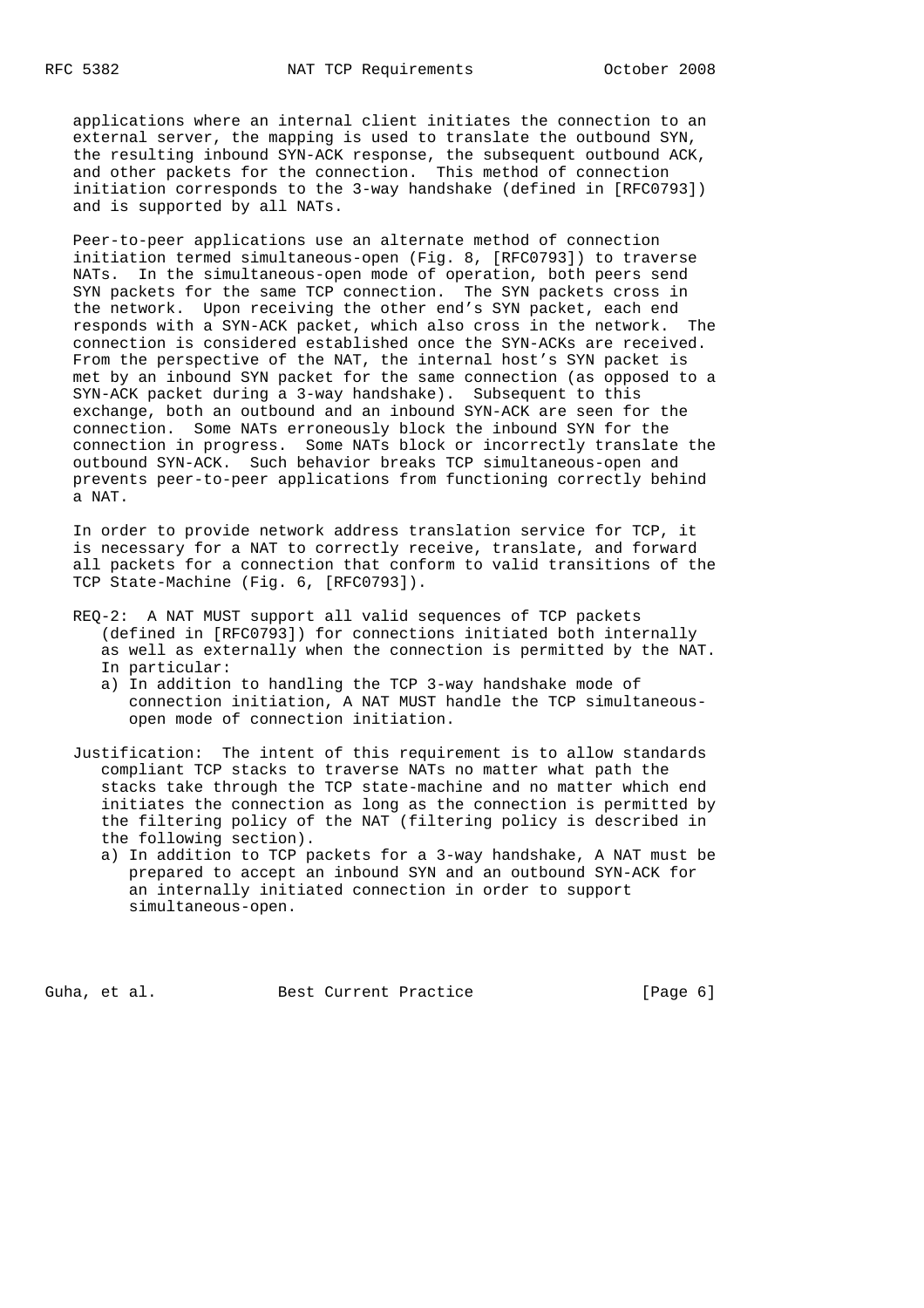applications where an internal client initiates the connection to an external server, the mapping is used to translate the outbound SYN, the resulting inbound SYN-ACK response, the subsequent outbound ACK, and other packets for the connection. This method of connection initiation corresponds to the 3-way handshake (defined in [RFC0793]) and is supported by all NATs.

 Peer-to-peer applications use an alternate method of connection initiation termed simultaneous-open (Fig. 8, [RFC0793]) to traverse NATs. In the simultaneous-open mode of operation, both peers send SYN packets for the same TCP connection. The SYN packets cross in the network. Upon receiving the other end's SYN packet, each end responds with a SYN-ACK packet, which also cross in the network. The connection is considered established once the SYN-ACKs are received. From the perspective of the NAT, the internal host's SYN packet is met by an inbound SYN packet for the same connection (as opposed to a SYN-ACK packet during a 3-way handshake). Subsequent to this exchange, both an outbound and an inbound SYN-ACK are seen for the connection. Some NATs erroneously block the inbound SYN for the connection in progress. Some NATs block or incorrectly translate the outbound SYN-ACK. Such behavior breaks TCP simultaneous-open and prevents peer-to-peer applications from functioning correctly behind a NAT.

 In order to provide network address translation service for TCP, it is necessary for a NAT to correctly receive, translate, and forward all packets for a connection that conform to valid transitions of the TCP State-Machine (Fig. 6, [RFC0793]).

- REQ-2: A NAT MUST support all valid sequences of TCP packets (defined in [RFC0793]) for connections initiated both internally as well as externally when the connection is permitted by the NAT. In particular:
	- a) In addition to handling the TCP 3-way handshake mode of connection initiation, A NAT MUST handle the TCP simultaneous open mode of connection initiation.

 Justification: The intent of this requirement is to allow standards compliant TCP stacks to traverse NATs no matter what path the stacks take through the TCP state-machine and no matter which end initiates the connection as long as the connection is permitted by the filtering policy of the NAT (filtering policy is described in the following section).

 a) In addition to TCP packets for a 3-way handshake, A NAT must be prepared to accept an inbound SYN and an outbound SYN-ACK for an internally initiated connection in order to support simultaneous-open.

Guha, et al. Best Current Practice [Page 6]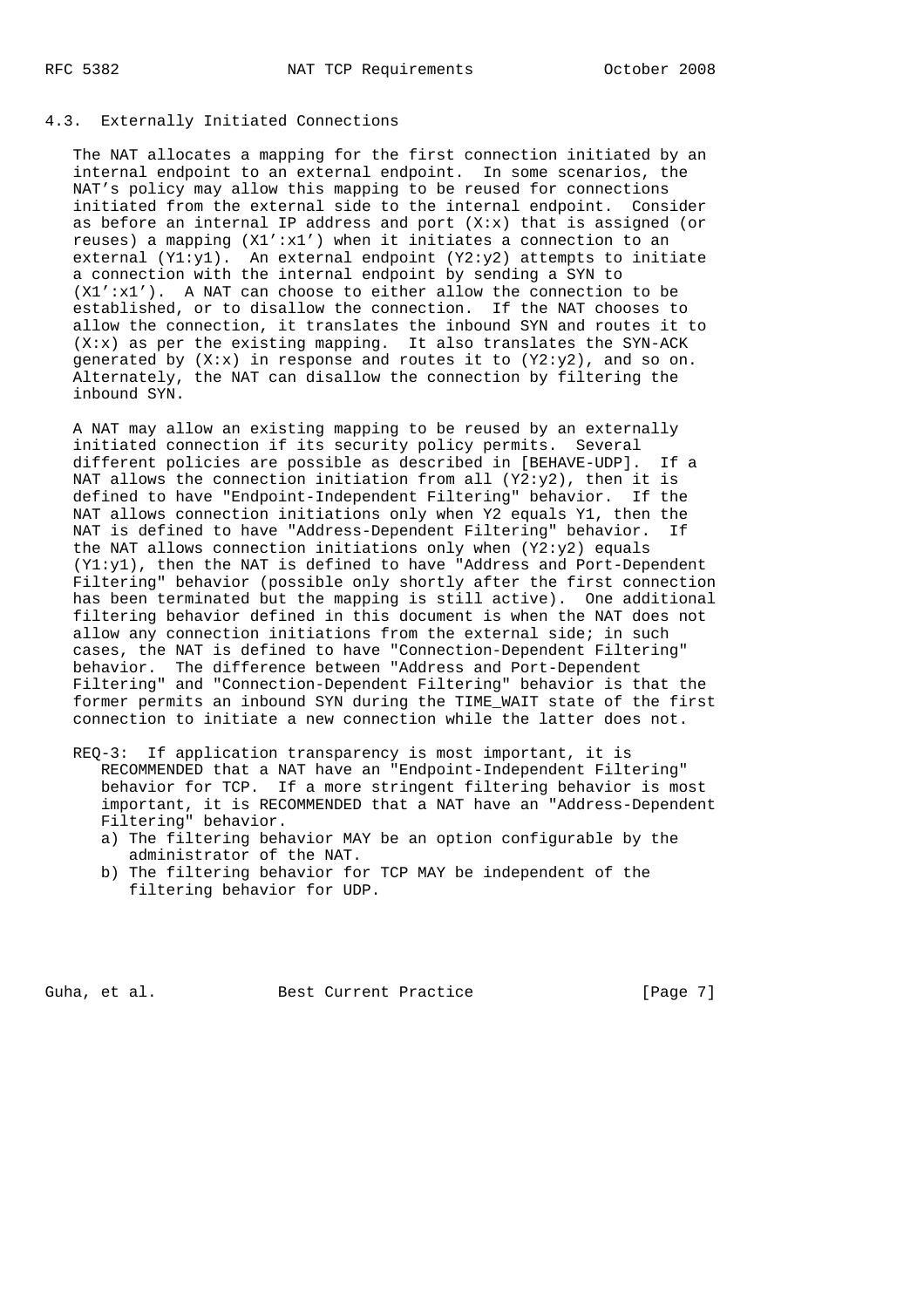### 4.3. Externally Initiated Connections

 The NAT allocates a mapping for the first connection initiated by an internal endpoint to an external endpoint. In some scenarios, the NAT's policy may allow this mapping to be reused for connections initiated from the external side to the internal endpoint. Consider as before an internal IP address and port  $(X: x)$  that is assigned (or reuses) a mapping  $(X1':x1')$  when it initiates a connection to an external  $(Y1:Y1)$ . An external endpoint  $(Y2:Y2)$  attempts to initiate a connection with the internal endpoint by sending a SYN to (X1':x1'). A NAT can choose to either allow the connection to be established, or to disallow the connection. If the NAT chooses to allow the connection, it translates the inbound SYN and routes it to (X:x) as per the existing mapping. It also translates the SYN-ACK generated by  $(X:x)$  in response and routes it to  $(Y2:y2)$ , and so on. Alternately, the NAT can disallow the connection by filtering the inbound SYN.

 A NAT may allow an existing mapping to be reused by an externally initiated connection if its security policy permits. Several different policies are possible as described in [BEHAVE-UDP]. If a NAT allows the connection initiation from all  $(Y2:Y2)$ , then it is defined to have "Endpoint-Independent Filtering" behavior. If the NAT allows connection initiations only when Y2 equals Y1, then the NAT is defined to have "Address-Dependent Filtering" behavior. If the NAT allows connection initiations only when  $(Y2: y2)$  equals (Y1:y1), then the NAT is defined to have "Address and Port-Dependent Filtering" behavior (possible only shortly after the first connection has been terminated but the mapping is still active). One additional filtering behavior defined in this document is when the NAT does not allow any connection initiations from the external side; in such cases, the NAT is defined to have "Connection-Dependent Filtering" behavior. The difference between "Address and Port-Dependent Filtering" and "Connection-Dependent Filtering" behavior is that the former permits an inbound SYN during the TIME\_WAIT state of the first connection to initiate a new connection while the latter does not.

- REQ-3: If application transparency is most important, it is RECOMMENDED that a NAT have an "Endpoint-Independent Filtering" behavior for TCP. If a more stringent filtering behavior is most important, it is RECOMMENDED that a NAT have an "Address-Dependent Filtering" behavior.
	- a) The filtering behavior MAY be an option configurable by the administrator of the NAT.
	- b) The filtering behavior for TCP MAY be independent of the filtering behavior for UDP.

Guha, et al. Best Current Practice [Page 7]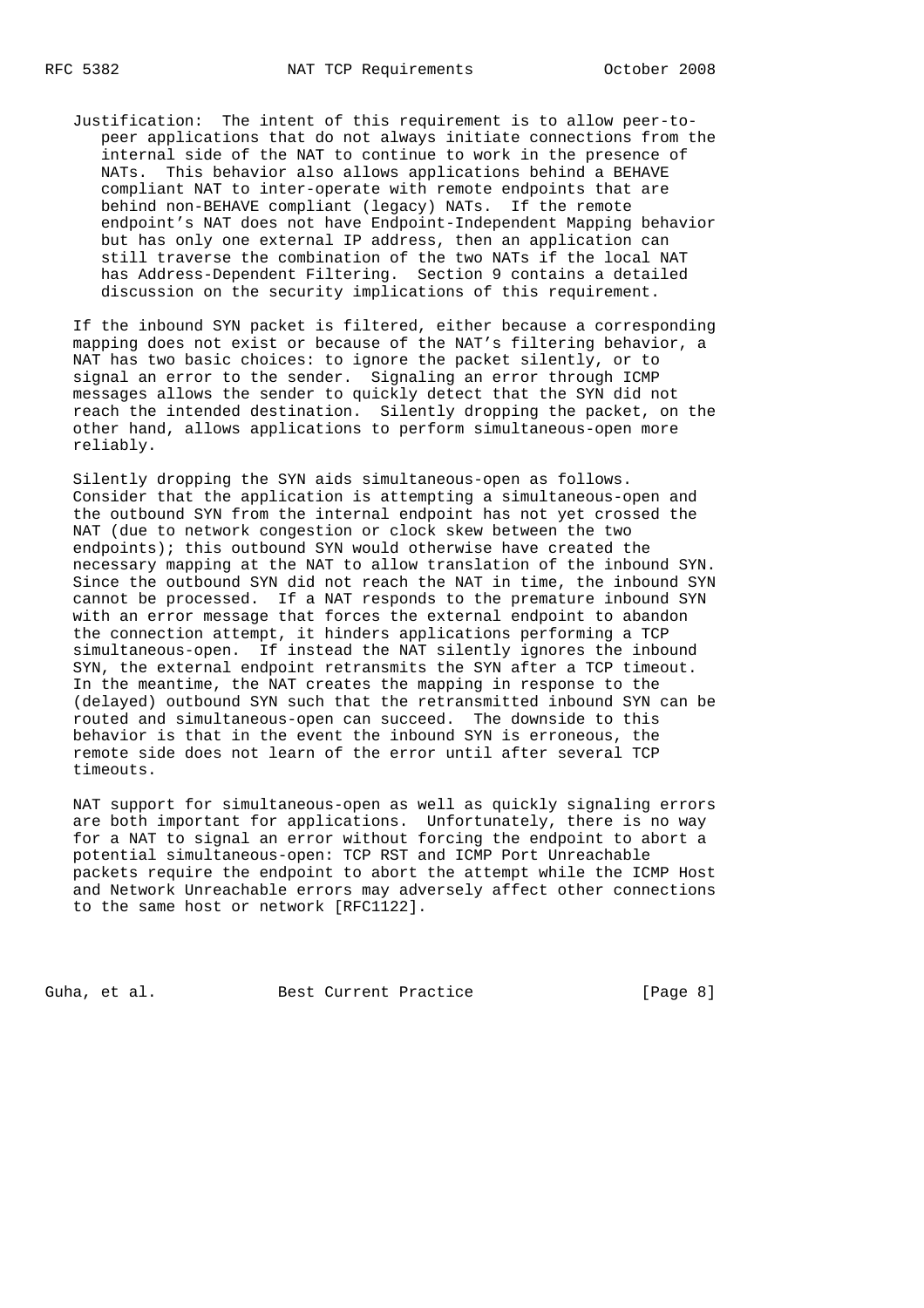Justification: The intent of this requirement is to allow peer-to peer applications that do not always initiate connections from the internal side of the NAT to continue to work in the presence of NATs. This behavior also allows applications behind a BEHAVE compliant NAT to inter-operate with remote endpoints that are behind non-BEHAVE compliant (legacy) NATs. If the remote endpoint's NAT does not have Endpoint-Independent Mapping behavior but has only one external IP address, then an application can still traverse the combination of the two NATs if the local NAT has Address-Dependent Filtering. Section 9 contains a detailed discussion on the security implications of this requirement.

 If the inbound SYN packet is filtered, either because a corresponding mapping does not exist or because of the NAT's filtering behavior, a NAT has two basic choices: to ignore the packet silently, or to signal an error to the sender. Signaling an error through ICMP messages allows the sender to quickly detect that the SYN did not reach the intended destination. Silently dropping the packet, on the other hand, allows applications to perform simultaneous-open more reliably.

 Silently dropping the SYN aids simultaneous-open as follows. Consider that the application is attempting a simultaneous-open and the outbound SYN from the internal endpoint has not yet crossed the NAT (due to network congestion or clock skew between the two endpoints); this outbound SYN would otherwise have created the necessary mapping at the NAT to allow translation of the inbound SYN. Since the outbound SYN did not reach the NAT in time, the inbound SYN cannot be processed. If a NAT responds to the premature inbound SYN with an error message that forces the external endpoint to abandon the connection attempt, it hinders applications performing a TCP simultaneous-open. If instead the NAT silently ignores the inbound SYN, the external endpoint retransmits the SYN after a TCP timeout. In the meantime, the NAT creates the mapping in response to the (delayed) outbound SYN such that the retransmitted inbound SYN can be routed and simultaneous-open can succeed. The downside to this behavior is that in the event the inbound SYN is erroneous, the remote side does not learn of the error until after several TCP timeouts.

 NAT support for simultaneous-open as well as quickly signaling errors are both important for applications. Unfortunately, there is no way for a NAT to signal an error without forcing the endpoint to abort a potential simultaneous-open: TCP RST and ICMP Port Unreachable packets require the endpoint to abort the attempt while the ICMP Host and Network Unreachable errors may adversely affect other connections to the same host or network [RFC1122].

Guha, et al. Best Current Practice [Page 8]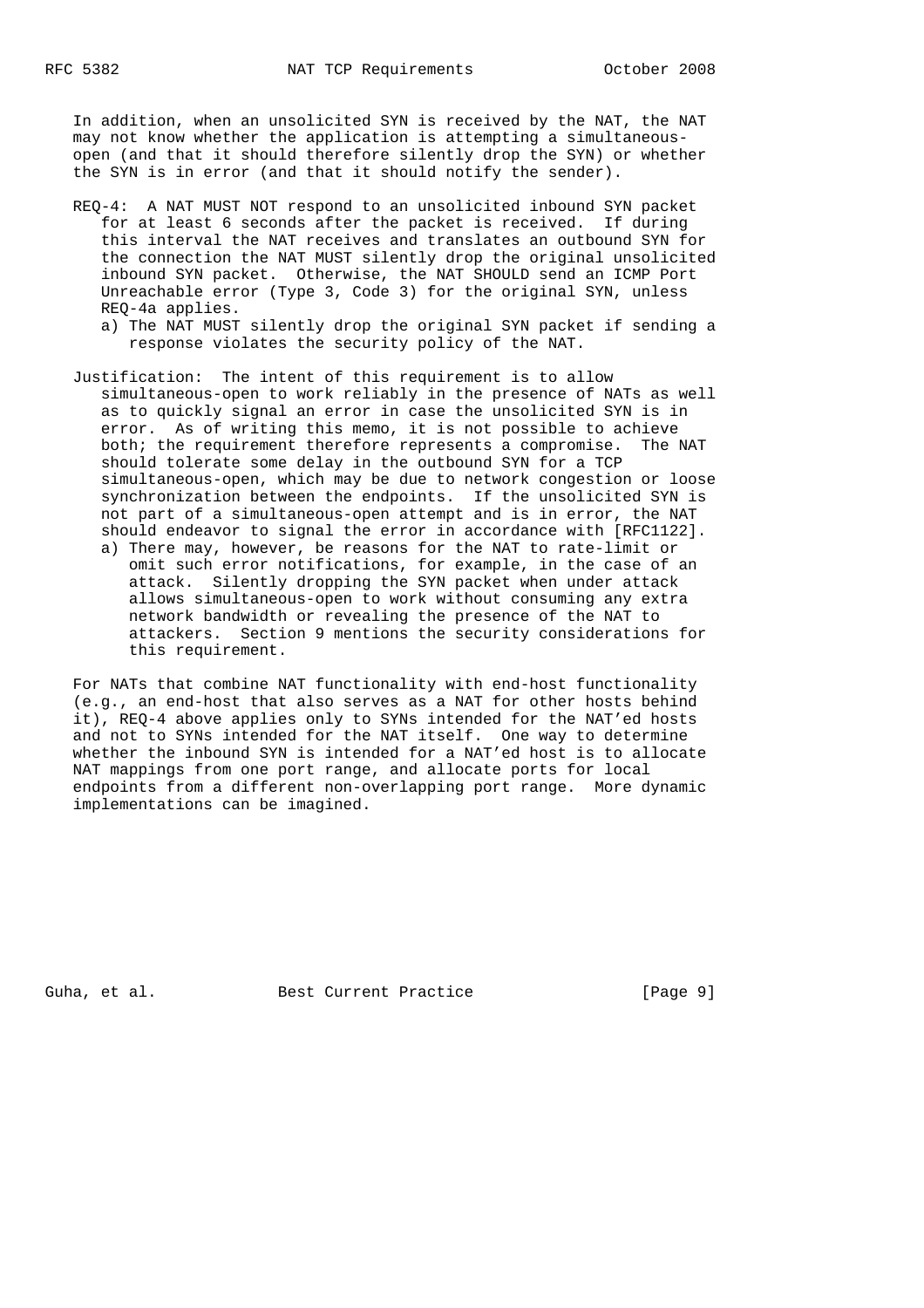In addition, when an unsolicited SYN is received by the NAT, the NAT may not know whether the application is attempting a simultaneous open (and that it should therefore silently drop the SYN) or whether the SYN is in error (and that it should notify the sender).

- REQ-4: A NAT MUST NOT respond to an unsolicited inbound SYN packet for at least 6 seconds after the packet is received. If during this interval the NAT receives and translates an outbound SYN for the connection the NAT MUST silently drop the original unsolicited inbound SYN packet. Otherwise, the NAT SHOULD send an ICMP Port Unreachable error (Type 3, Code 3) for the original SYN, unless REQ-4a applies.
	- a) The NAT MUST silently drop the original SYN packet if sending a response violates the security policy of the NAT.
- Justification: The intent of this requirement is to allow simultaneous-open to work reliably in the presence of NATs as well as to quickly signal an error in case the unsolicited SYN is in error. As of writing this memo, it is not possible to achieve both; the requirement therefore represents a compromise. The NAT should tolerate some delay in the outbound SYN for a TCP simultaneous-open, which may be due to network congestion or loose synchronization between the endpoints. If the unsolicited SYN is not part of a simultaneous-open attempt and is in error, the NAT should endeavor to signal the error in accordance with [RFC1122]. a) There may, however, be reasons for the NAT to rate-limit or
	- omit such error notifications, for example, in the case of an attack. Silently dropping the SYN packet when under attack allows simultaneous-open to work without consuming any extra network bandwidth or revealing the presence of the NAT to attackers. Section 9 mentions the security considerations for this requirement.

 For NATs that combine NAT functionality with end-host functionality (e.g., an end-host that also serves as a NAT for other hosts behind it), REQ-4 above applies only to SYNs intended for the NAT'ed hosts and not to SYNs intended for the NAT itself. One way to determine whether the inbound SYN is intended for a NAT'ed host is to allocate NAT mappings from one port range, and allocate ports for local endpoints from a different non-overlapping port range. More dynamic implementations can be imagined.

Guha, et al. Best Current Practice [Page 9]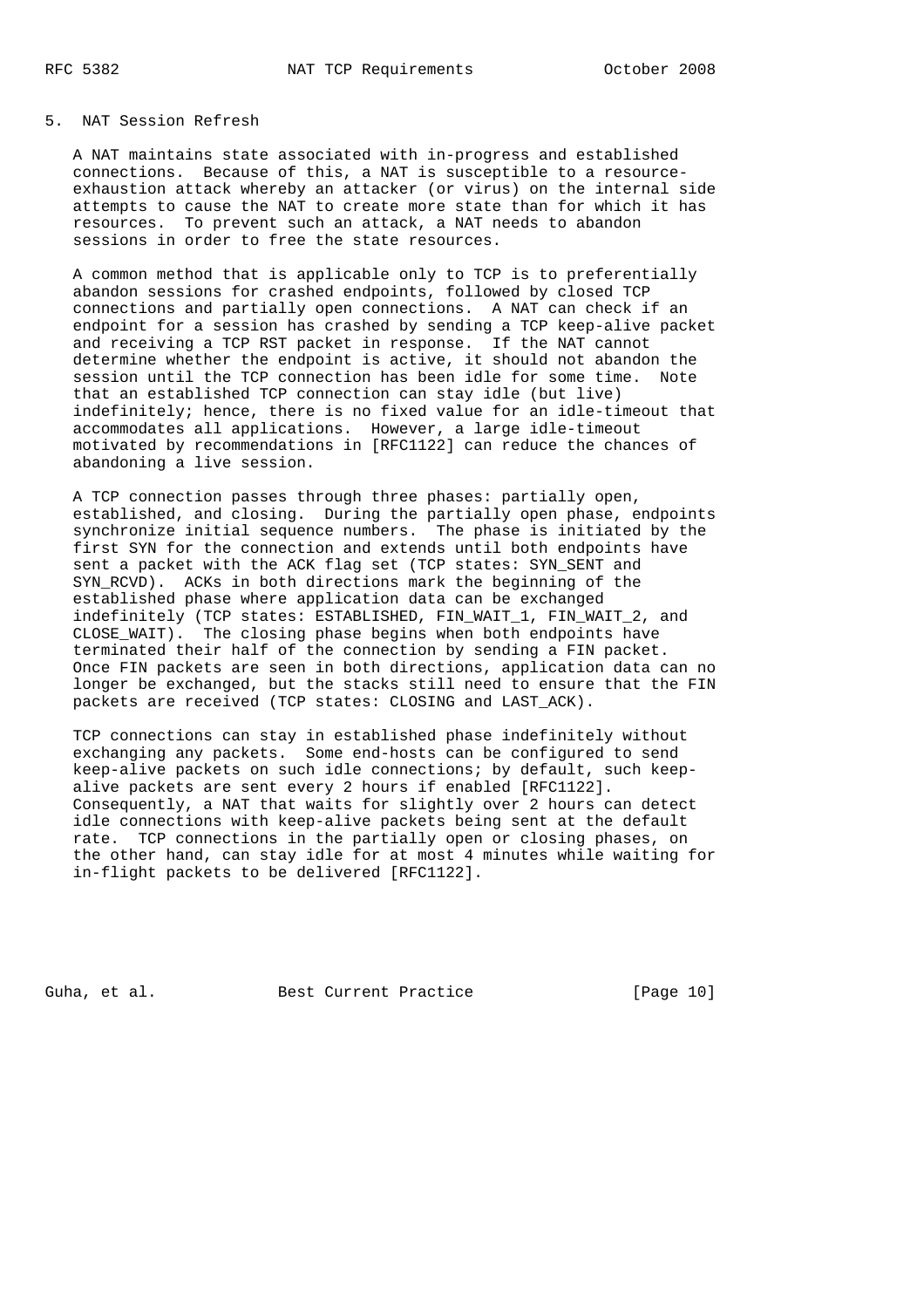### 5. NAT Session Refresh

 A NAT maintains state associated with in-progress and established connections. Because of this, a NAT is susceptible to a resource exhaustion attack whereby an attacker (or virus) on the internal side attempts to cause the NAT to create more state than for which it has resources. To prevent such an attack, a NAT needs to abandon sessions in order to free the state resources.

 A common method that is applicable only to TCP is to preferentially abandon sessions for crashed endpoints, followed by closed TCP connections and partially open connections. A NAT can check if an endpoint for a session has crashed by sending a TCP keep-alive packet and receiving a TCP RST packet in response. If the NAT cannot determine whether the endpoint is active, it should not abandon the session until the TCP connection has been idle for some time. Note that an established TCP connection can stay idle (but live) indefinitely; hence, there is no fixed value for an idle-timeout that accommodates all applications. However, a large idle-timeout motivated by recommendations in [RFC1122] can reduce the chances of abandoning a live session.

 A TCP connection passes through three phases: partially open, established, and closing. During the partially open phase, endpoints synchronize initial sequence numbers. The phase is initiated by the first SYN for the connection and extends until both endpoints have sent a packet with the ACK flag set (TCP states: SYN SENT and SYN\_RCVD). ACKs in both directions mark the beginning of the established phase where application data can be exchanged indefinitely (TCP states: ESTABLISHED, FIN\_WAIT\_1, FIN\_WAIT\_2, and CLOSE\_WAIT). The closing phase begins when both endpoints have terminated their half of the connection by sending a FIN packet. Once FIN packets are seen in both directions, application data can no longer be exchanged, but the stacks still need to ensure that the FIN packets are received (TCP states: CLOSING and LAST\_ACK).

 TCP connections can stay in established phase indefinitely without exchanging any packets. Some end-hosts can be configured to send keep-alive packets on such idle connections; by default, such keep alive packets are sent every 2 hours if enabled [RFC1122]. Consequently, a NAT that waits for slightly over 2 hours can detect idle connections with keep-alive packets being sent at the default rate. TCP connections in the partially open or closing phases, on the other hand, can stay idle for at most 4 minutes while waiting for in-flight packets to be delivered [RFC1122].

Guha, et al. Best Current Practice [Page 10]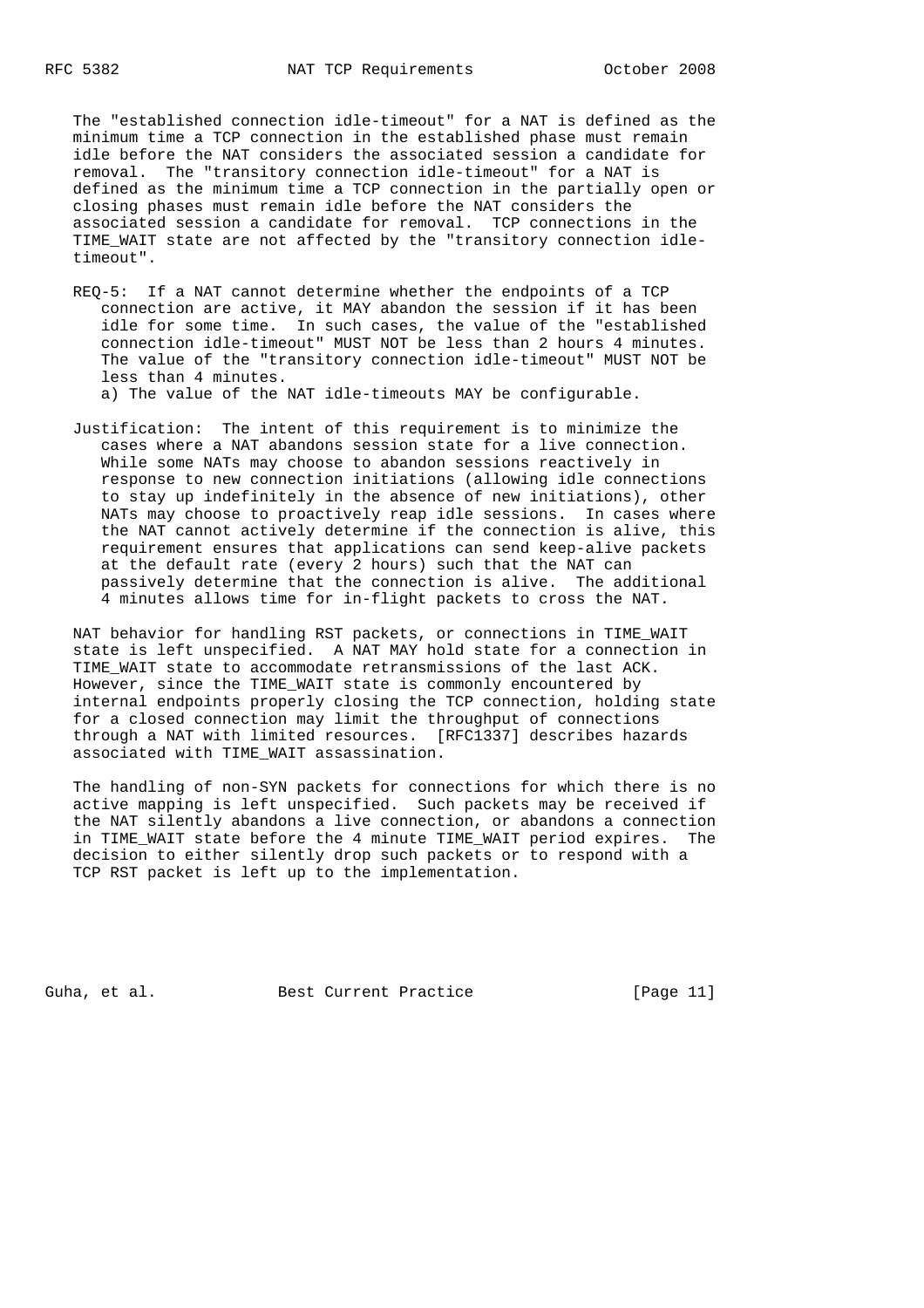The "established connection idle-timeout" for a NAT is defined as the minimum time a TCP connection in the established phase must remain idle before the NAT considers the associated session a candidate for removal. The "transitory connection idle-timeout" for a NAT is defined as the minimum time a TCP connection in the partially open or closing phases must remain idle before the NAT considers the associated session a candidate for removal. TCP connections in the TIME\_WAIT state are not affected by the "transitory connection idle timeout".

 REQ-5: If a NAT cannot determine whether the endpoints of a TCP connection are active, it MAY abandon the session if it has been idle for some time. In such cases, the value of the "established connection idle-timeout" MUST NOT be less than 2 hours 4 minutes. The value of the "transitory connection idle-timeout" MUST NOT be less than 4 minutes.

a) The value of the NAT idle-timeouts MAY be configurable.

 Justification: The intent of this requirement is to minimize the cases where a NAT abandons session state for a live connection. While some NATs may choose to abandon sessions reactively in response to new connection initiations (allowing idle connections to stay up indefinitely in the absence of new initiations), other NATs may choose to proactively reap idle sessions. In cases where the NAT cannot actively determine if the connection is alive, this requirement ensures that applications can send keep-alive packets at the default rate (every 2 hours) such that the NAT can passively determine that the connection is alive. The additional 4 minutes allows time for in-flight packets to cross the NAT.

 NAT behavior for handling RST packets, or connections in TIME\_WAIT state is left unspecified. A NAT MAY hold state for a connection in TIME WAIT state to accommodate retransmissions of the last ACK. However, since the TIME\_WAIT state is commonly encountered by internal endpoints properly closing the TCP connection, holding state for a closed connection may limit the throughput of connections through a NAT with limited resources. [RFC1337] describes hazards associated with TIME\_WAIT assassination.

 The handling of non-SYN packets for connections for which there is no active mapping is left unspecified. Such packets may be received if the NAT silently abandons a live connection, or abandons a connection in TIME\_WAIT state before the 4 minute TIME\_WAIT period expires. The decision to either silently drop such packets or to respond with a TCP RST packet is left up to the implementation.

Guha, et al. Best Current Practice [Page 11]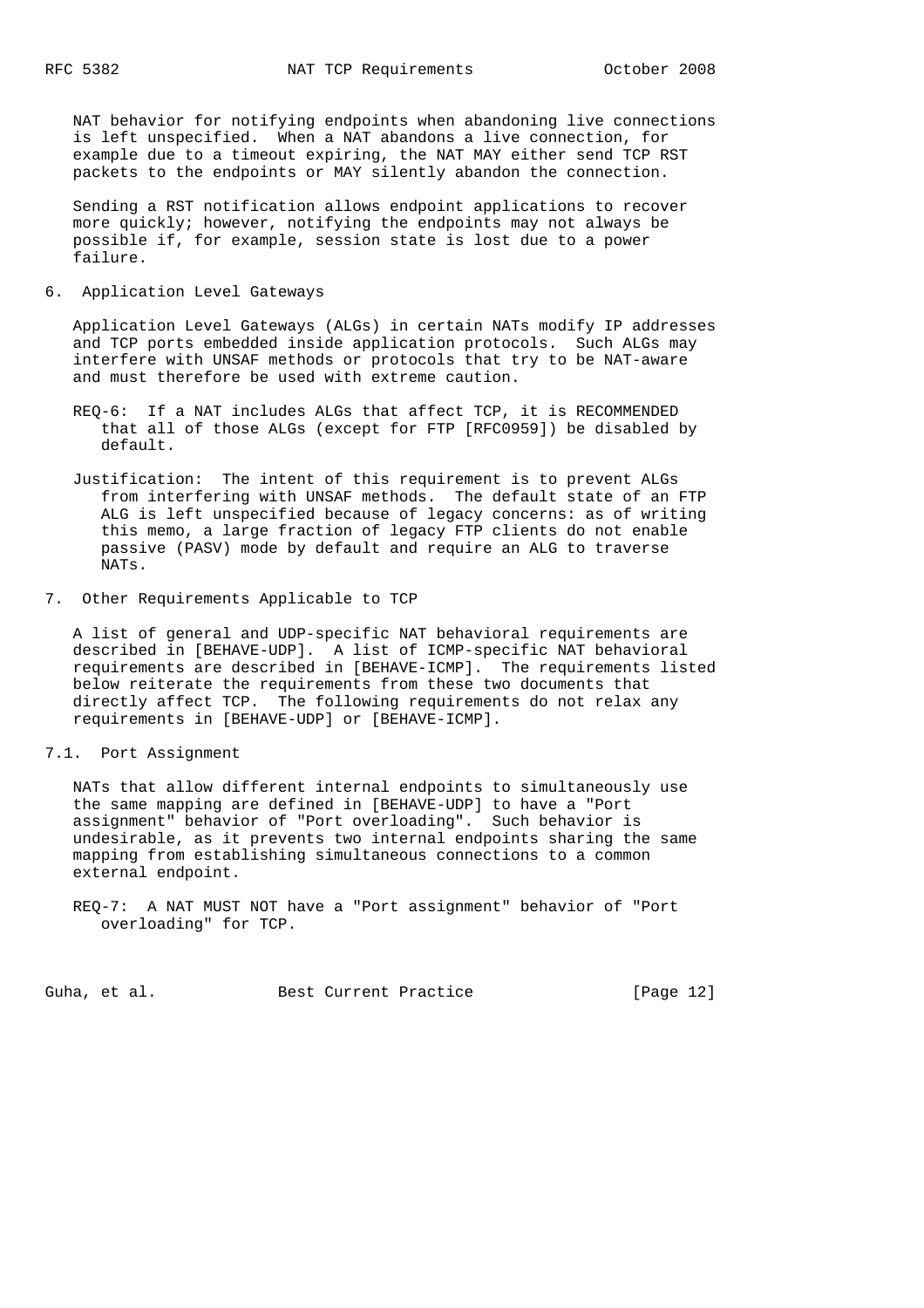NAT behavior for notifying endpoints when abandoning live connections is left unspecified. When a NAT abandons a live connection, for example due to a timeout expiring, the NAT MAY either send TCP RST packets to the endpoints or MAY silently abandon the connection.

 Sending a RST notification allows endpoint applications to recover more quickly; however, notifying the endpoints may not always be possible if, for example, session state is lost due to a power failure.

6. Application Level Gateways

 Application Level Gateways (ALGs) in certain NATs modify IP addresses and TCP ports embedded inside application protocols. Such ALGs may interfere with UNSAF methods or protocols that try to be NAT-aware and must therefore be used with extreme caution.

- REQ-6: If a NAT includes ALGs that affect TCP, it is RECOMMENDED that all of those ALGs (except for FTP [RFC0959]) be disabled by default.
- Justification: The intent of this requirement is to prevent ALGs from interfering with UNSAF methods. The default state of an FTP ALG is left unspecified because of legacy concerns: as of writing this memo, a large fraction of legacy FTP clients do not enable passive (PASV) mode by default and require an ALG to traverse NATs.
- 7. Other Requirements Applicable to TCP

 A list of general and UDP-specific NAT behavioral requirements are described in [BEHAVE-UDP]. A list of ICMP-specific NAT behavioral requirements are described in [BEHAVE-ICMP]. The requirements listed below reiterate the requirements from these two documents that directly affect TCP. The following requirements do not relax any requirements in [BEHAVE-UDP] or [BEHAVE-ICMP].

7.1. Port Assignment

 NATs that allow different internal endpoints to simultaneously use the same mapping are defined in [BEHAVE-UDP] to have a "Port assignment" behavior of "Port overloading". Such behavior is undesirable, as it prevents two internal endpoints sharing the same mapping from establishing simultaneous connections to a common external endpoint.

Guha, et al. Best Current Practice [Page 12]

REQ-7: A NAT MUST NOT have a "Port assignment" behavior of "Port overloading" for TCP.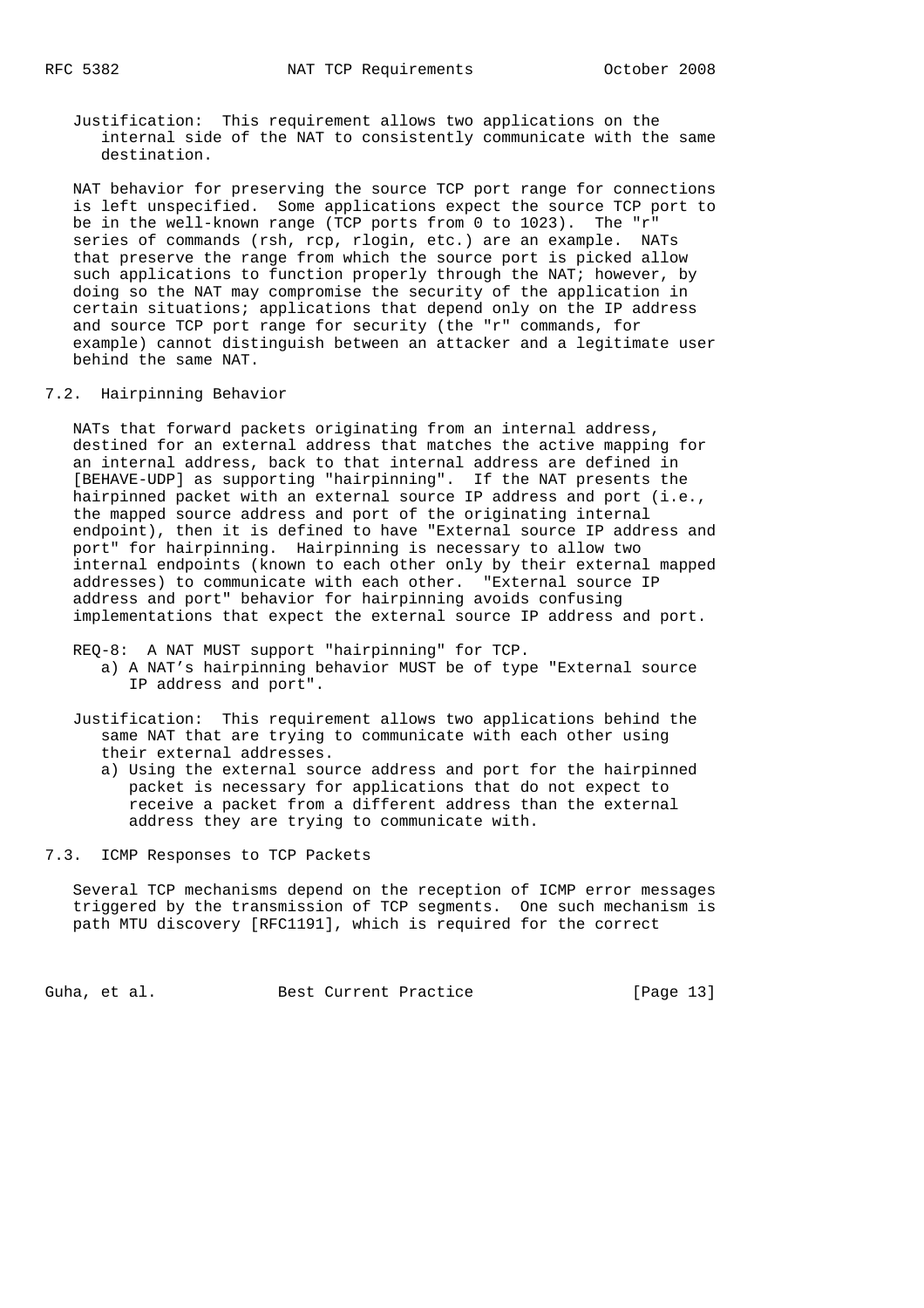Justification: This requirement allows two applications on the internal side of the NAT to consistently communicate with the same destination.

 NAT behavior for preserving the source TCP port range for connections is left unspecified. Some applications expect the source TCP port to be in the well-known range (TCP ports from 0 to 1023). The "r" series of commands (rsh, rcp, rlogin, etc.) are an example. NATs that preserve the range from which the source port is picked allow such applications to function properly through the NAT; however, by doing so the NAT may compromise the security of the application in certain situations; applications that depend only on the IP address and source TCP port range for security (the "r" commands, for example) cannot distinguish between an attacker and a legitimate user behind the same NAT.

### 7.2. Hairpinning Behavior

 NATs that forward packets originating from an internal address, destined for an external address that matches the active mapping for an internal address, back to that internal address are defined in [BEHAVE-UDP] as supporting "hairpinning". If the NAT presents the hairpinned packet with an external source IP address and port (i.e., the mapped source address and port of the originating internal endpoint), then it is defined to have "External source IP address and port" for hairpinning. Hairpinning is necessary to allow two internal endpoints (known to each other only by their external mapped addresses) to communicate with each other. "External source IP address and port" behavior for hairpinning avoids confusing implementations that expect the external source IP address and port.

REQ-8: A NAT MUST support "hairpinning" for TCP.

- a) A NAT's hairpinning behavior MUST be of type "External source IP address and port".
- Justification: This requirement allows two applications behind the same NAT that are trying to communicate with each other using their external addresses.
	- a) Using the external source address and port for the hairpinned packet is necessary for applications that do not expect to receive a packet from a different address than the external address they are trying to communicate with.

7.3. ICMP Responses to TCP Packets

 Several TCP mechanisms depend on the reception of ICMP error messages triggered by the transmission of TCP segments. One such mechanism is path MTU discovery [RFC1191], which is required for the correct

Guha, et al. Best Current Practice [Page 13]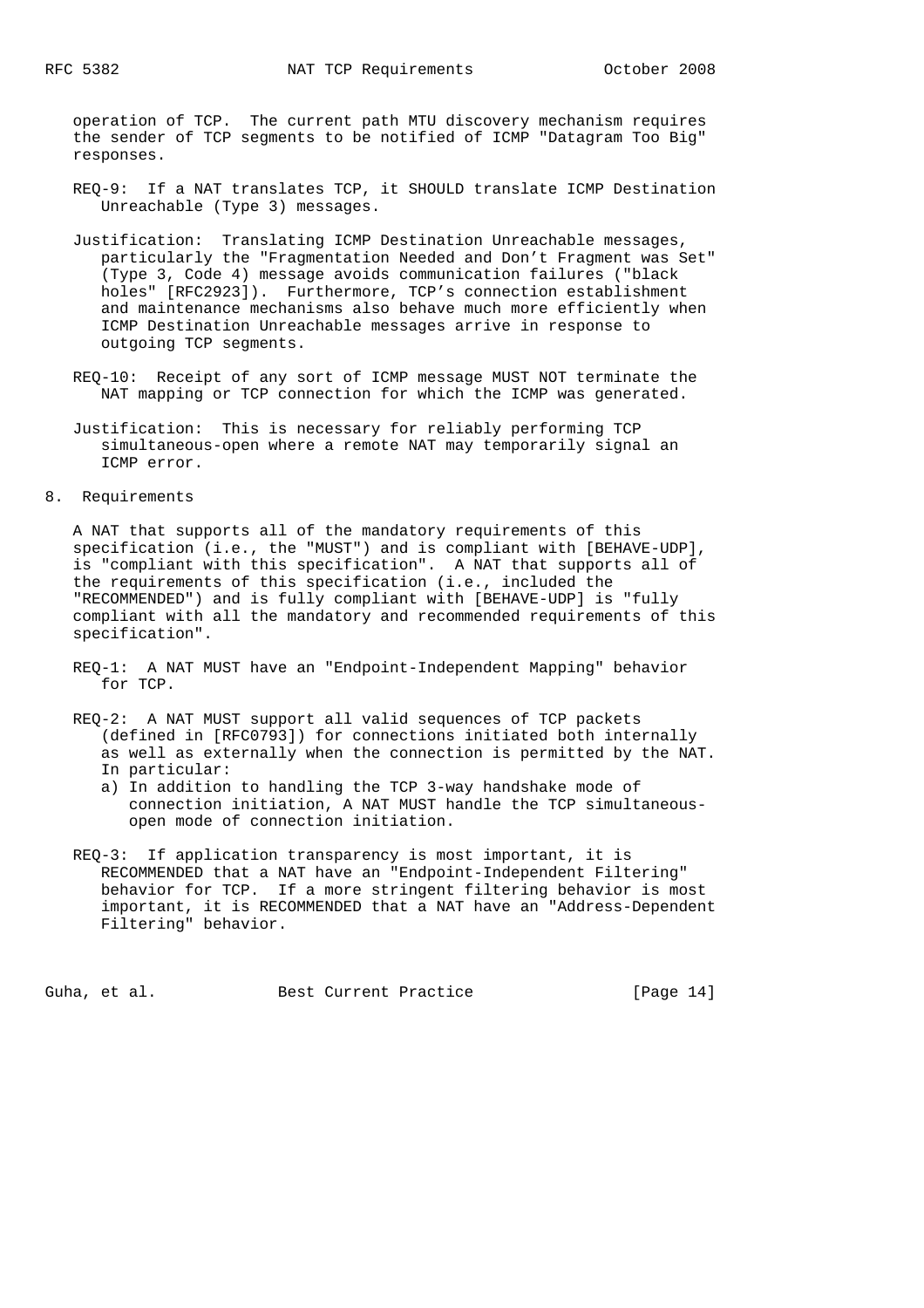operation of TCP. The current path MTU discovery mechanism requires the sender of TCP segments to be notified of ICMP "Datagram Too Big" responses.

- REQ-9: If a NAT translates TCP, it SHOULD translate ICMP Destination Unreachable (Type 3) messages.
- Justification: Translating ICMP Destination Unreachable messages, particularly the "Fragmentation Needed and Don't Fragment was Set" (Type 3, Code 4) message avoids communication failures ("black holes" [RFC2923]). Furthermore, TCP's connection establishment and maintenance mechanisms also behave much more efficiently when ICMP Destination Unreachable messages arrive in response to outgoing TCP segments.
- REQ-10: Receipt of any sort of ICMP message MUST NOT terminate the NAT mapping or TCP connection for which the ICMP was generated.
- Justification: This is necessary for reliably performing TCP simultaneous-open where a remote NAT may temporarily signal an ICMP error.
- 8. Requirements

 A NAT that supports all of the mandatory requirements of this specification (i.e., the "MUST") and is compliant with [BEHAVE-UDP], is "compliant with this specification". A NAT that supports all of the requirements of this specification (i.e., included the "RECOMMENDED") and is fully compliant with [BEHAVE-UDP] is "fully compliant with all the mandatory and recommended requirements of this specification".

- REQ-1: A NAT MUST have an "Endpoint-Independent Mapping" behavior for TCP.
- REQ-2: A NAT MUST support all valid sequences of TCP packets (defined in [RFC0793]) for connections initiated both internally as well as externally when the connection is permitted by the NAT. In particular:
	- a) In addition to handling the TCP 3-way handshake mode of connection initiation, A NAT MUST handle the TCP simultaneous open mode of connection initiation.
- REQ-3: If application transparency is most important, it is RECOMMENDED that a NAT have an "Endpoint-Independent Filtering" behavior for TCP. If a more stringent filtering behavior is most important, it is RECOMMENDED that a NAT have an "Address-Dependent Filtering" behavior.

Guha, et al. Best Current Practice [Page 14]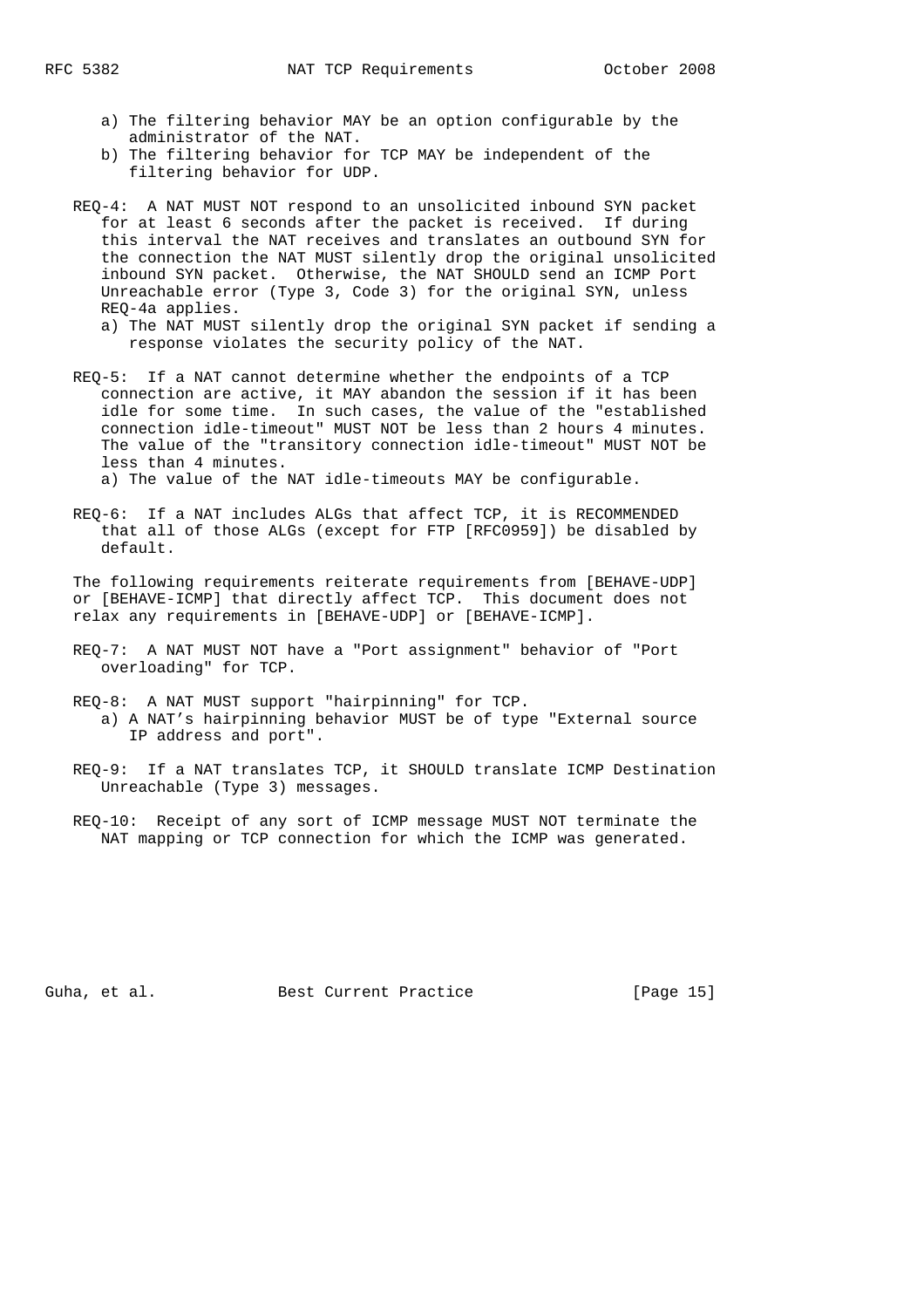- a) The filtering behavior MAY be an option configurable by the administrator of the NAT.
- b) The filtering behavior for TCP MAY be independent of the filtering behavior for UDP.
- REQ-4: A NAT MUST NOT respond to an unsolicited inbound SYN packet for at least 6 seconds after the packet is received. If during this interval the NAT receives and translates an outbound SYN for the connection the NAT MUST silently drop the original unsolicited inbound SYN packet. Otherwise, the NAT SHOULD send an ICMP Port Unreachable error (Type 3, Code 3) for the original SYN, unless REQ-4a applies.
	- a) The NAT MUST silently drop the original SYN packet if sending a response violates the security policy of the NAT.
- REQ-5: If a NAT cannot determine whether the endpoints of a TCP connection are active, it MAY abandon the session if it has been idle for some time. In such cases, the value of the "established connection idle-timeout" MUST NOT be less than 2 hours 4 minutes. The value of the "transitory connection idle-timeout" MUST NOT be less than 4 minutes.

a) The value of the NAT idle-timeouts MAY be configurable.

 REQ-6: If a NAT includes ALGs that affect TCP, it is RECOMMENDED that all of those ALGs (except for FTP [RFC0959]) be disabled by default.

 The following requirements reiterate requirements from [BEHAVE-UDP] or [BEHAVE-ICMP] that directly affect TCP. This document does not relax any requirements in [BEHAVE-UDP] or [BEHAVE-ICMP].

- REQ-7: A NAT MUST NOT have a "Port assignment" behavior of "Port overloading" for TCP.
- REQ-8: A NAT MUST support "hairpinning" for TCP. a) A NAT's hairpinning behavior MUST be of type "External source IP address and port".
- REQ-9: If a NAT translates TCP, it SHOULD translate ICMP Destination Unreachable (Type 3) messages.
- REQ-10: Receipt of any sort of ICMP message MUST NOT terminate the NAT mapping or TCP connection for which the ICMP was generated.

Guha, et al. Best Current Practice [Page 15]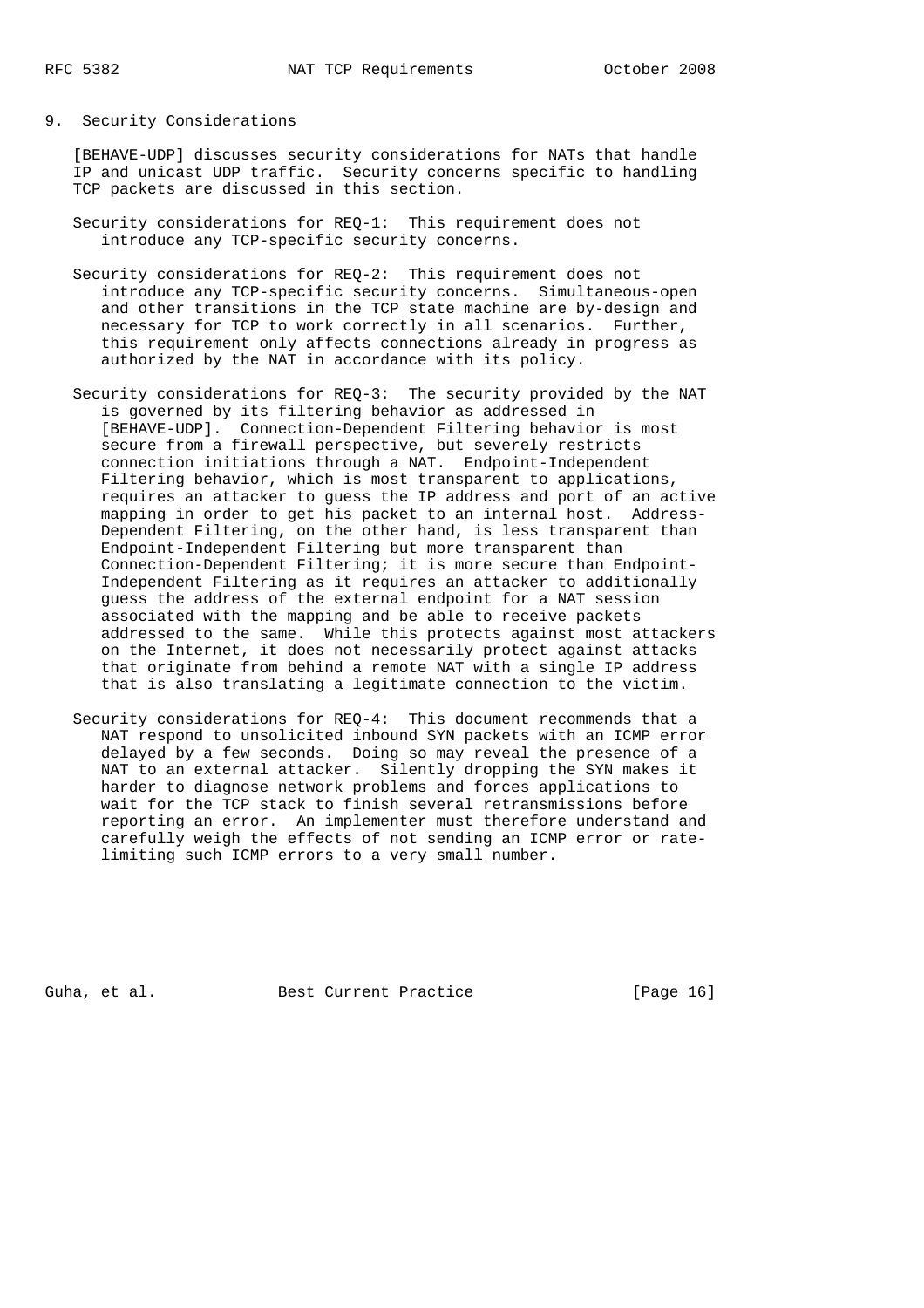# 9. Security Considerations

 [BEHAVE-UDP] discusses security considerations for NATs that handle IP and unicast UDP traffic. Security concerns specific to handling TCP packets are discussed in this section.

 Security considerations for REQ-1: This requirement does not introduce any TCP-specific security concerns.

 Security considerations for REQ-2: This requirement does not introduce any TCP-specific security concerns. Simultaneous-open and other transitions in the TCP state machine are by-design and necessary for TCP to work correctly in all scenarios. Further, this requirement only affects connections already in progress as authorized by the NAT in accordance with its policy.

- Security considerations for REQ-3: The security provided by the NAT is governed by its filtering behavior as addressed in [BEHAVE-UDP]. Connection-Dependent Filtering behavior is most secure from a firewall perspective, but severely restricts connection initiations through a NAT. Endpoint-Independent Filtering behavior, which is most transparent to applications, requires an attacker to guess the IP address and port of an active mapping in order to get his packet to an internal host. Address- Dependent Filtering, on the other hand, is less transparent than Endpoint-Independent Filtering but more transparent than Connection-Dependent Filtering; it is more secure than Endpoint- Independent Filtering as it requires an attacker to additionally guess the address of the external endpoint for a NAT session associated with the mapping and be able to receive packets addressed to the same. While this protects against most attackers on the Internet, it does not necessarily protect against attacks that originate from behind a remote NAT with a single IP address that is also translating a legitimate connection to the victim.
- Security considerations for REQ-4: This document recommends that a NAT respond to unsolicited inbound SYN packets with an ICMP error delayed by a few seconds. Doing so may reveal the presence of a NAT to an external attacker. Silently dropping the SYN makes it harder to diagnose network problems and forces applications to wait for the TCP stack to finish several retransmissions before reporting an error. An implementer must therefore understand and carefully weigh the effects of not sending an ICMP error or rate limiting such ICMP errors to a very small number.

Guha, et al. Best Current Practice [Page 16]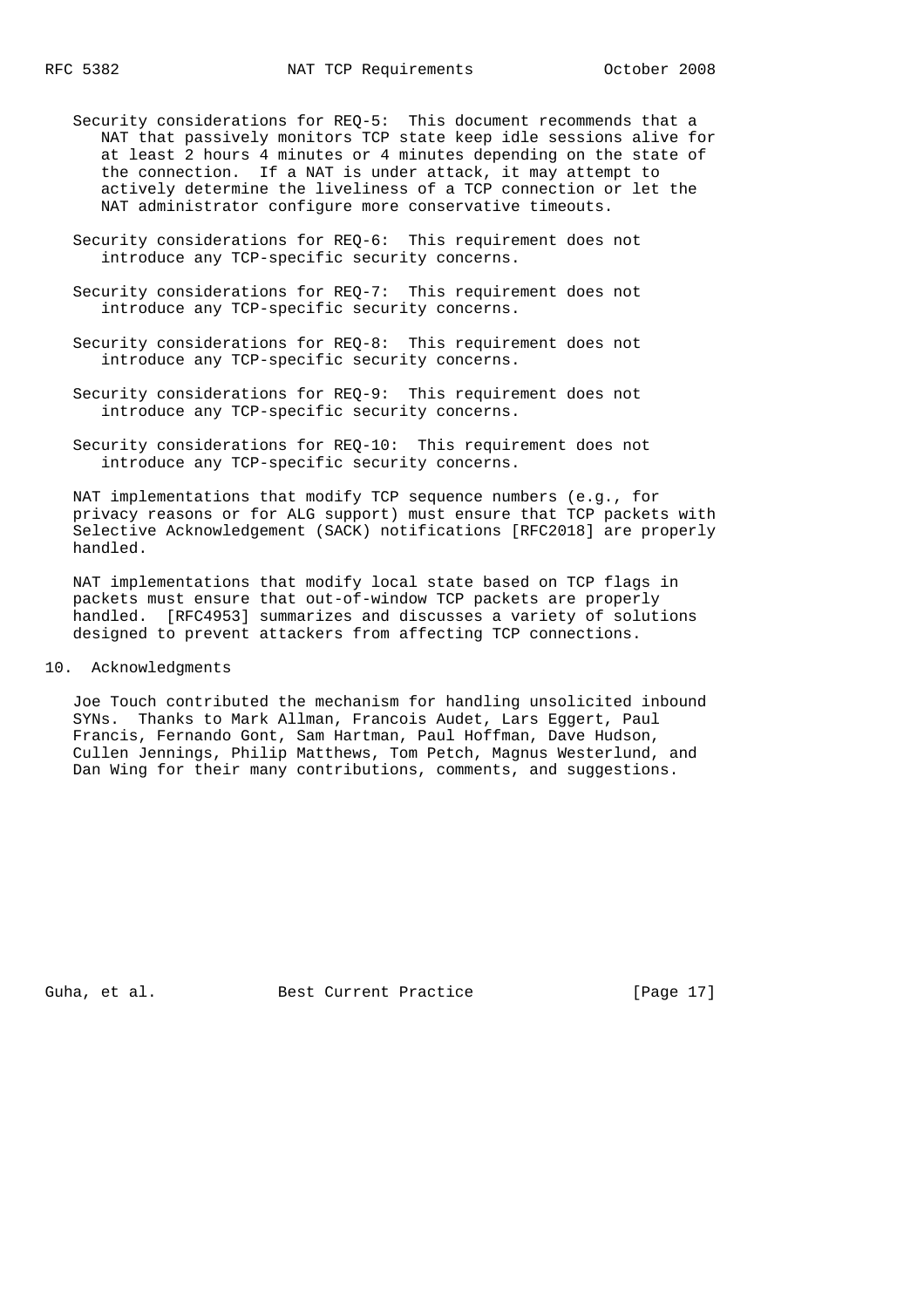- Security considerations for REQ-5: This document recommends that a NAT that passively monitors TCP state keep idle sessions alive for at least 2 hours 4 minutes or 4 minutes depending on the state of the connection. If a NAT is under attack, it may attempt to actively determine the liveliness of a TCP connection or let the NAT administrator configure more conservative timeouts.
- Security considerations for REQ-6: This requirement does not introduce any TCP-specific security concerns.
- Security considerations for REQ-7: This requirement does not introduce any TCP-specific security concerns.
- Security considerations for REQ-8: This requirement does not introduce any TCP-specific security concerns.
- Security considerations for REQ-9: This requirement does not introduce any TCP-specific security concerns.
- Security considerations for REQ-10: This requirement does not introduce any TCP-specific security concerns.

 NAT implementations that modify TCP sequence numbers (e.g., for privacy reasons or for ALG support) must ensure that TCP packets with Selective Acknowledgement (SACK) notifications [RFC2018] are properly handled.

 NAT implementations that modify local state based on TCP flags in packets must ensure that out-of-window TCP packets are properly handled. [RFC4953] summarizes and discusses a variety of solutions designed to prevent attackers from affecting TCP connections.

10. Acknowledgments

 Joe Touch contributed the mechanism for handling unsolicited inbound SYNs. Thanks to Mark Allman, Francois Audet, Lars Eggert, Paul Francis, Fernando Gont, Sam Hartman, Paul Hoffman, Dave Hudson, Cullen Jennings, Philip Matthews, Tom Petch, Magnus Westerlund, and Dan Wing for their many contributions, comments, and suggestions.

Guha, et al. Best Current Practice [Page 17]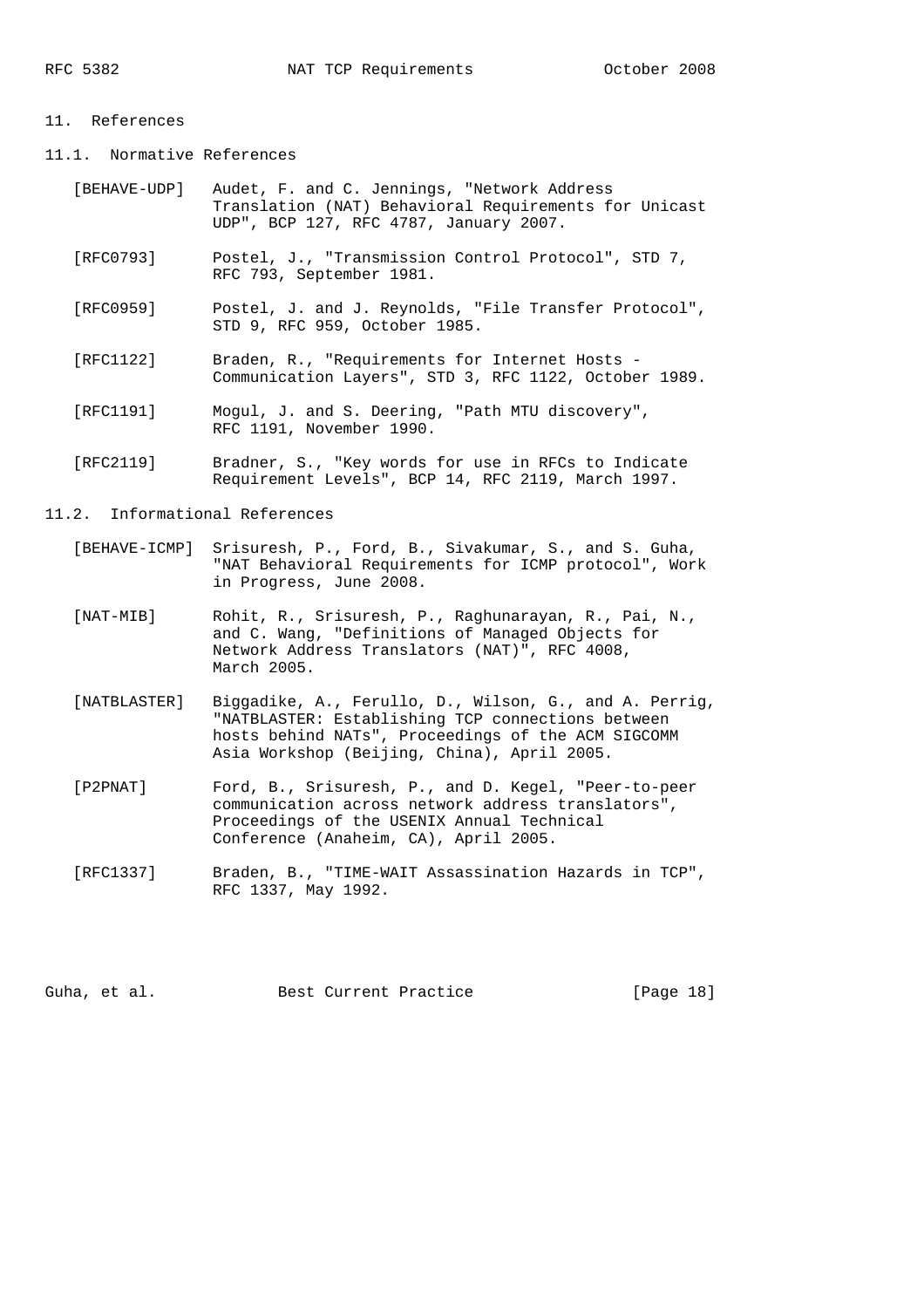### 11. References

- 11.1. Normative References
	- [BEHAVE-UDP] Audet, F. and C. Jennings, "Network Address Translation (NAT) Behavioral Requirements for Unicast UDP", BCP 127, RFC 4787, January 2007.
	- [RFC0793] Postel, J., "Transmission Control Protocol", STD 7, RFC 793, September 1981.
	- [RFC0959] Postel, J. and J. Reynolds, "File Transfer Protocol", STD 9, RFC 959, October 1985.
	- [RFC1122] Braden, R., "Requirements for Internet Hosts Communication Layers", STD 3, RFC 1122, October 1989.
	- [RFC1191] Mogul, J. and S. Deering, "Path MTU discovery", RFC 1191, November 1990.
	- [RFC2119] Bradner, S., "Key words for use in RFCs to Indicate Requirement Levels", BCP 14, RFC 2119, March 1997.

#### 11.2. Informational References

- [BEHAVE-ICMP] Srisuresh, P., Ford, B., Sivakumar, S., and S. Guha, "NAT Behavioral Requirements for ICMP protocol", Work in Progress, June 2008.
- [NAT-MIB] Rohit, R., Srisuresh, P., Raghunarayan, R., Pai, N., and C. Wang, "Definitions of Managed Objects for Network Address Translators (NAT)", RFC 4008, March 2005.
- [NATBLASTER] Biggadike, A., Ferullo, D., Wilson, G., and A. Perrig, "NATBLASTER: Establishing TCP connections between hosts behind NATs", Proceedings of the ACM SIGCOMM Asia Workshop (Beijing, China), April 2005.
- [P2PNAT] Ford, B., Srisuresh, P., and D. Kegel, "Peer-to-peer communication across network address translators", Proceedings of the USENIX Annual Technical Conference (Anaheim, CA), April 2005.
- [RFC1337] Braden, B., "TIME-WAIT Assassination Hazards in TCP", RFC 1337, May 1992.

Guha, et al. Best Current Practice [Page 18]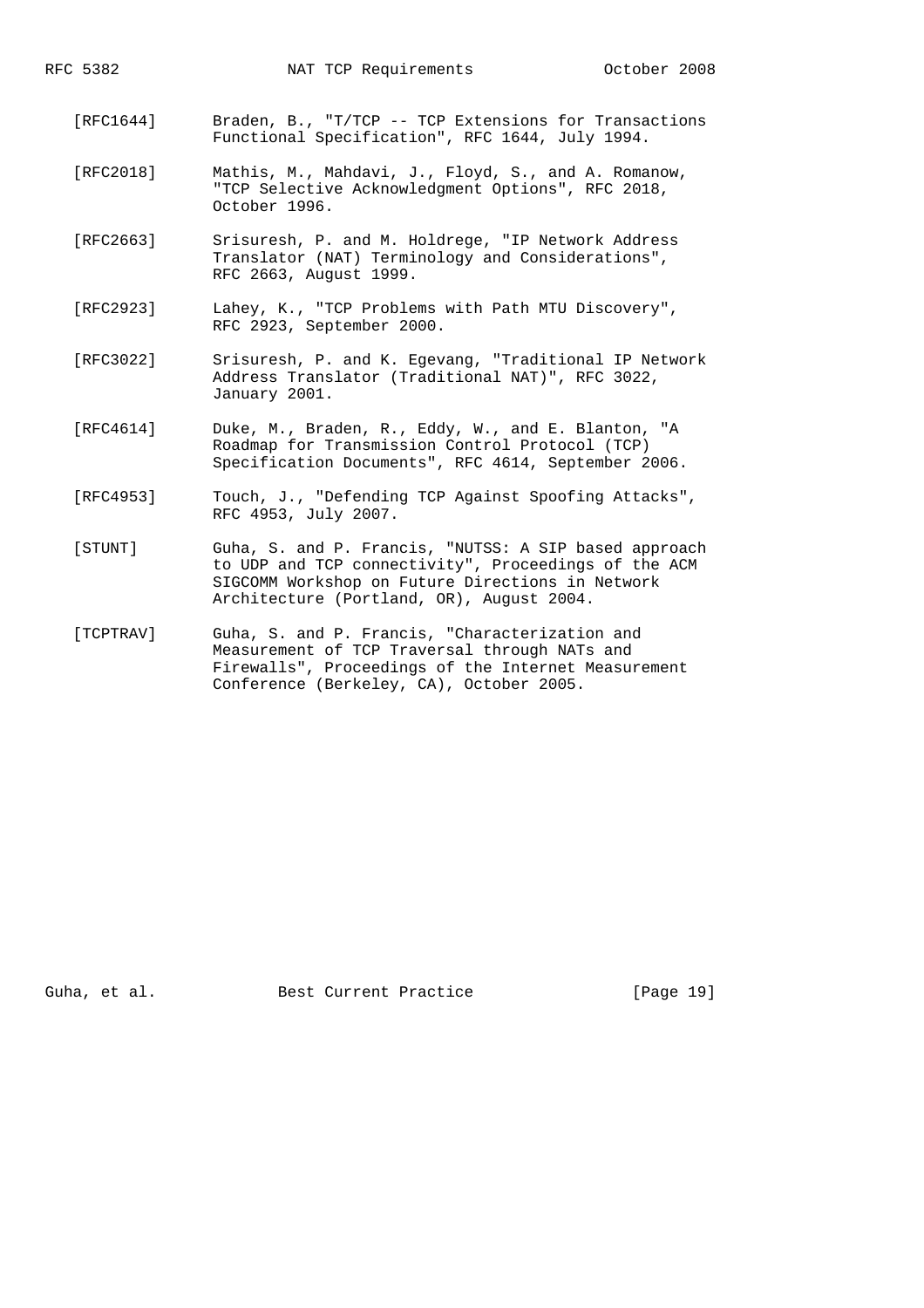- [RFC1644] Braden, B., "T/TCP -- TCP Extensions for Transactions Functional Specification", RFC 1644, July 1994.
- [RFC2018] Mathis, M., Mahdavi, J., Floyd, S., and A. Romanow, "TCP Selective Acknowledgment Options", RFC 2018, October 1996.
- [RFC2663] Srisuresh, P. and M. Holdrege, "IP Network Address Translator (NAT) Terminology and Considerations", RFC 2663, August 1999.
- [RFC2923] Lahey, K., "TCP Problems with Path MTU Discovery", RFC 2923, September 2000.
- [RFC3022] Srisuresh, P. and K. Egevang, "Traditional IP Network Address Translator (Traditional NAT)", RFC 3022, January 2001.
- [RFC4614] Duke, M., Braden, R., Eddy, W., and E. Blanton, "A Roadmap for Transmission Control Protocol (TCP) Specification Documents", RFC 4614, September 2006.
- [RFC4953] Touch, J., "Defending TCP Against Spoofing Attacks", RFC 4953, July 2007.
- [STUNT] Guha, S. and P. Francis, "NUTSS: A SIP based approach to UDP and TCP connectivity", Proceedings of the ACM SIGCOMM Workshop on Future Directions in Network Architecture (Portland, OR), August 2004.
- [TCPTRAV] Guha, S. and P. Francis, "Characterization and Measurement of TCP Traversal through NATs and Firewalls", Proceedings of the Internet Measurement Conference (Berkeley, CA), October 2005.

Guha, et al. Best Current Practice [Page 19]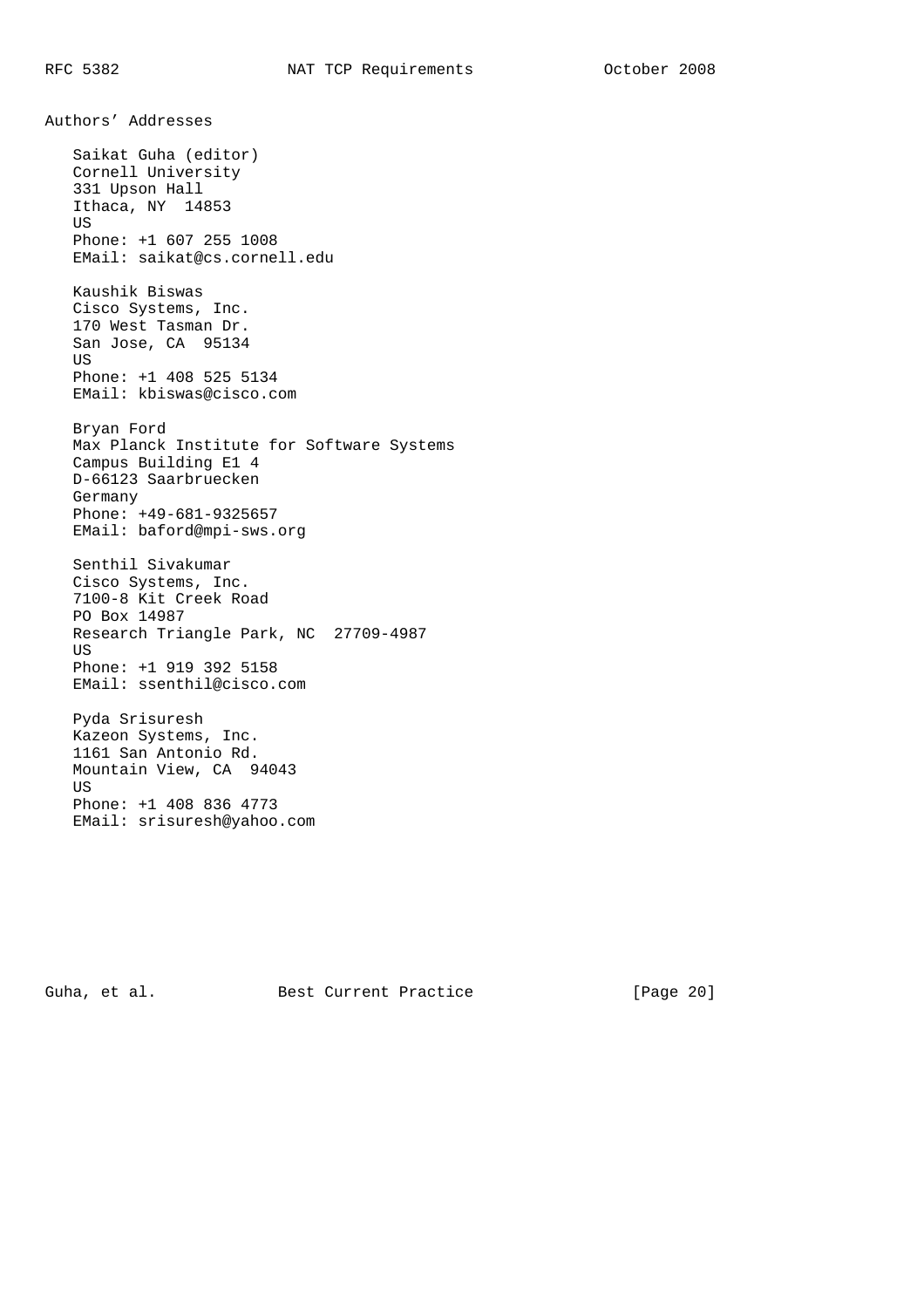Authors' Addresses Saikat Guha (editor) Cornell University 331 Upson Hall Ithaca, NY 14853 US Phone: +1 607 255 1008 EMail: saikat@cs.cornell.edu Kaushik Biswas Cisco Systems, Inc. 170 West Tasman Dr. San Jose, CA 95134 **US**  Phone: +1 408 525 5134 EMail: kbiswas@cisco.com Bryan Ford Max Planck Institute for Software Systems Campus Building E1 4 D-66123 Saarbruecken Germany Phone: +49-681-9325657 EMail: baford@mpi-sws.org Senthil Sivakumar Cisco Systems, Inc. 7100-8 Kit Creek Road PO Box 14987 Research Triangle Park, NC 27709-4987 US Phone: +1 919 392 5158 EMail: ssenthil@cisco.com Pyda Srisuresh Kazeon Systems, Inc. 1161 San Antonio Rd. Mountain View, CA 94043 US Phone: +1 408 836 4773 EMail: srisuresh@yahoo.com

Guha, et al. Best Current Practice [Page 20]